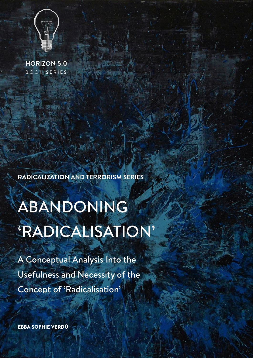

**HORIZON 5.0**  BOOK SERIES

**RADICALIZATION AND TERRORISM SERIES**

ABANDONING 'RADICALISATION'

A Conceptual Analysis Into the Usefulness and Necessity of the Concept of 'Radicalisation'

EBBA SOPHIE VERDÚ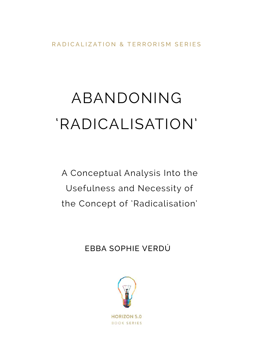RADICALIZATION & TERRORISM SERIES

# ABANDONING 'RADICALISATION'

A Conceptual Analysis Into the Usefulness and Necessity of the Concept of 'Radicalisation'

EBBA SOPHIE VERDÚ

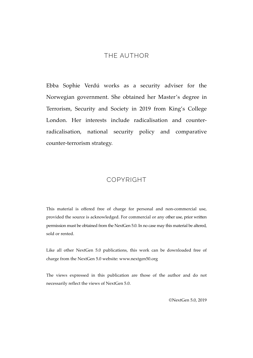#### THE AUTHOR

Ebba Sophie Verdú works as a security adviser for the Norwegian government. She obtained her Master's degree in Terrorism, Security and Society in 2019 from King's College London. Her interests include radicalisation and counterradicalisation, national security policy and comparative counter-terrorism strategy.

#### COPYRIGHT

This material is offered free of charge for personal and non-commercial use, provided the source is acknowledged. For commercial or any other use, prior written permission must be obtained from the NextGen 5.0. In no case may this material be altered, sold or rented.

Like all other NextGen 5.0 publications, this work can be downloaded free of charge from the NextGen 5.0 website: www.nextgen50.org

The views expressed in this publication are those of the author and do not necessarily reflect the views of NextGen 5.0.

©NextGen 5.0, 2019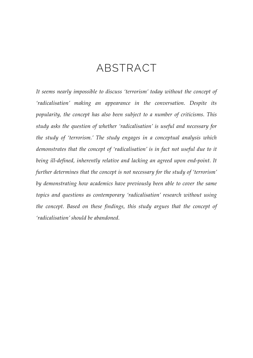### ABSTRACT

*It seems nearly impossible to discuss 'terrorism' today without the concept of 'radicalisation' making an appearance in the conversation. Despite its popularity, the concept has also been subject to a number of criticisms. This study asks the question of whether 'radicalisation' is useful and necessary for the study of 'terrorism.' The study engages in a conceptual analysis which demonstrates that the concept of 'radicalisation' is in fact not useful due to it being ill-defined, inherently relative and lacking an agreed upon end-point. It further determines that the concept is not necessary for the study of 'terrorism' by demonstrating how academics have previously been able to cover the same topics and questions as contemporary 'radicalisation' research without using the concept. Based on these findings, this study argues that the concept of 'radicalisation' should be abandoned.*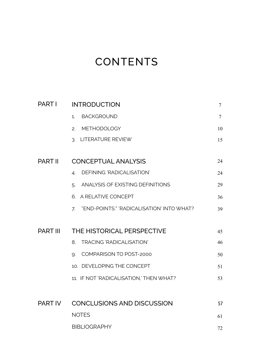### **CONTENTS**

| <b>PART I</b>   | <b>INTRODUCTION</b>                             | 7      |
|-----------------|-------------------------------------------------|--------|
|                 | <b>BACKGROUND</b><br>1 <sup>1</sup>             | $\tau$ |
|                 | 2. METHODOLOGY                                  | 10     |
|                 | 3. LITERATURE REVIEW                            | 15     |
| <b>PART II</b>  | <b>CONCEPTUAL ANALYSIS</b>                      | 24     |
|                 | DEFINING 'RADICALISATION'<br>4.                 | 24     |
|                 | 5. ANALYSIS OF EXISTING DEFINITIONS             | 29     |
|                 | 6. A RELATIVE CONCEPT                           | 36     |
|                 | "END-POINTS:" 'RADICALISATION' INTO WHAT?<br>7. | 39     |
| <b>PART III</b> | THE HISTORICAL PERSPECTIVE                      | 45     |
|                 | 8. TRACING 'RADICALISATION'                     | 46     |
|                 | COMPARISON TO POST-2000<br>9.                   | 50     |
|                 | 10. DEVELOPING THE CONCEPT                      | 51     |
|                 | 11. IF NOT 'RADICALISATION,' THEN WHAT?         | 53     |
| PART IV         | <b>CONCLUSIONS AND DISCUSSION</b>               | 57     |
|                 | <b>NOTES</b>                                    | 61     |
|                 | <b>BIBLIOGRAPHY</b>                             | 72     |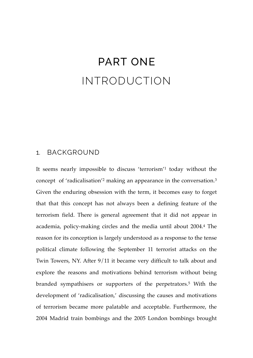### PART ONE INTRODUCTION

#### 1. BACKGROUND

It seems nearly impossible to discuss 'terrorism'1 today without the concept of 'radicalisation'2 making an appearance in the conversation.3 Given the enduring obsession with the term, it becomes easy to forget that that this concept has not always been a defining feature of the terrorism field. There is general agreement that it did not appear in academia, policy-making circles and the media until about 2004.4 The reason for its conception is largely understood as a response to the tense political climate following the September 11 terrorist attacks on the Twin Towers, NY. After 9/11 it became very difficult to talk about and explore the reasons and motivations behind terrorism without being branded sympathisers or supporters of the perpetrators.5 With the development of 'radicalisation,' discussing the causes and motivations of terrorism became more palatable and acceptable. Furthermore, the 2004 Madrid train bombings and the 2005 London bombings brought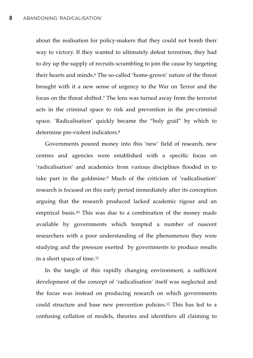about the realisation for policy-makers that they could not bomb their way to victory. If they wanted to ultimately defeat terrorism, they had to dry up the supply of recruits scrambling to join the cause by targeting their hearts and minds.6 The so-called 'home-grown' nature of the threat brought with it a new sense of urgency to the War on Terror and the focus on the threat shifted.7 The lens was turned away from the terrorist acts in the criminal space to risk and prevention in the pre-criminal space. 'Radicalisation' quickly became the "holy grail" by which to determine pre-violent indicators.8

Governments poured money into this 'new' field of research, new centres and agencies were established with a specific focus on 'radicalisation' and academics from various disciplines flooded in to take part in the goldmine.9 Much of the criticism of 'radicalisation' research is focused on this early period immediately after its conception arguing that the research produced lacked academic rigour and an empirical basis.10 This was due to a combination of the money made available by governments which tempted a number of nascent researchers with a poor understanding of the phenomenon they were studying and the pressure exerted by governments to produce results in a short space of time.11

In the tangle of this rapidly changing environment, a sufficient development of the concept of 'radicalisation' itself was neglected and the focus was instead on producing research on which governments could structure and base new prevention policies.12 This has led to a confusing collation of models, theories and identifiers all claiming to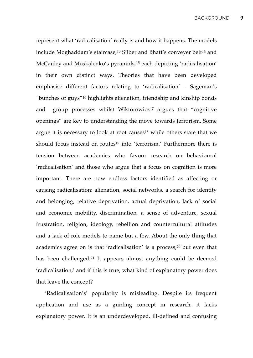represent what 'radicalisation' really is and how it happens. The models include Moghaddam's staircase,<sup>13</sup> Silber and Bhatt's conveyer belt<sup>14</sup> and McCauley and Moskalenko's pyramids,<sup>15</sup> each depicting 'radicalisation' in their own distinct ways. Theories that have been developed emphasise different factors relating to 'radicalisation' – Sageman's "bunches of guys"16 highlights alienation, friendship and kinship bonds and group processes whilst Wiktorowicz<sup>17</sup> argues that "cognitive openings" are key to understanding the move towards terrorism. Some argue it is necessary to look at root causes<sup>18</sup> while others state that we should focus instead on routes<sup>19</sup> into 'terrorism.' Furthermore there is tension between academics who favour research on behavioural 'radicalisation' and those who argue that a focus on cognition is more important. There are now endless factors identified as affecting or causing radicalisation: alienation, social networks, a search for identity and belonging, relative deprivation, actual deprivation, lack of social and economic mobility, discrimination, a sense of adventure, sexual frustration, religion, ideology, rebellion and countercultural attitudes and a lack of role models to name but a few. About the only thing that academics agree on is that 'radicalisation' is a process,20 but even that has been challenged.21 It appears almost anything could be deemed 'radicalisation,' and if this is true, what kind of explanatory power does that leave the concept?

'Radicalisation's' popularity is misleading. Despite its frequent application and use as a guiding concept in research, it lacks explanatory power. It is an underdeveloped, ill-defined and confusing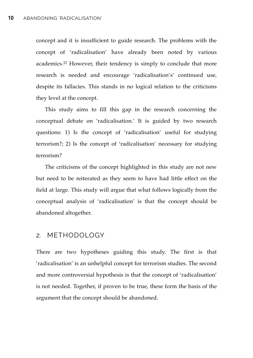concept and it is insufficient to guide research. The problems with the concept of 'radicalisation' have already been noted by various academics.22 However, their tendency is simply to conclude that more research is needed and encourage 'radicalisation's' continued use, despite its fallacies. This stands in no logical relation to the criticisms they level at the concept.

This study aims to fill this gap in the research concerning the conceptual debate on 'radicalisation.' It is guided by two research questions: 1) Is the concept of 'radicalisation' useful for studying terrorism?; 2) Is the concept of 'radicalisation' necessary for studying terrorism?

The criticisms of the concept highlighted in this study are not new but need to be reiterated as they seem to have had little effect on the field at large. This study will argue that what follows logically from the conceptual analysis of 'radicalisation' is that the concept should be abandoned altogether.

#### 2. METHODOLOGY

There are two hypotheses guiding this study. The first is that 'radicalisation' is an unhelpful concept for terrorism studies. The second and more controversial hypothesis is that the concept of 'radicalisation' is not needed. Together, if proven to be true, these form the basis of the argument that the concept should be abandoned.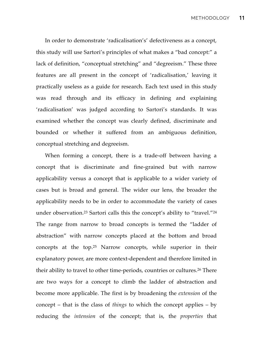In order to demonstrate 'radicalisation's' defectiveness as a concept, this study will use Sartori's principles of what makes a "bad concept:" a lack of definition, "conceptual stretching" and "degreeism." These three features are all present in the concept of 'radicalisation,' leaving it practically useless as a guide for research. Each text used in this study was read through and its efficacy in defining and explaining 'radicalisation' was judged according to Sartori's standards. It was examined whether the concept was clearly defined, discriminate and bounded or whether it suffered from an ambiguous definition, conceptual stretching and degreeism.

When forming a concept, there is a trade-off between having a concept that is discriminate and fine-grained but with narrow applicability versus a concept that is applicable to a wider variety of cases but is broad and general. The wider our lens, the broader the applicability needs to be in order to accommodate the variety of cases under observation.<sup>23</sup> Sartori calls this the concept's ability to "travel."<sup>24</sup> The range from narrow to broad concepts is termed the "ladder of abstraction" with narrow concepts placed at the bottom and broad concepts at the top.25 Narrow concepts, while superior in their explanatory power, are more context-dependent and therefore limited in their ability to travel to other time-periods, countries or cultures.26 There are two ways for a concept to climb the ladder of abstraction and become more applicable. The first is by broadening the *extension* of the concept – that is the class of *things* to which the concept applies – by reducing the *intension* of the concept; that is, the *properties* that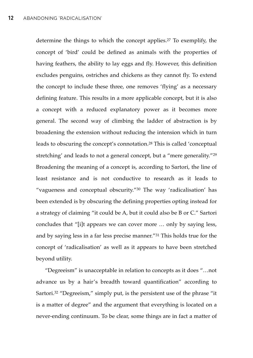determine the things to which the concept applies.27 To exemplify, the concept of 'bird' could be defined as animals with the properties of having feathers, the ability to lay eggs and fly. However, this definition excludes penguins, ostriches and chickens as they cannot fly. To extend the concept to include these three, one removes 'flying' as a necessary defining feature. This results in a more applicable concept, but it is also a concept with a reduced explanatory power as it becomes more general. The second way of climbing the ladder of abstraction is by broadening the extension without reducing the intension which in turn leads to obscuring the concept's connotation.28 This is called 'conceptual stretching' and leads to not a general concept, but a "mere generality."29 Broadening the meaning of a concept is, according to Sartori, the line of least resistance and is not conductive to research as it leads to "vagueness and conceptual obscurity."30 The way 'radicalisation' has been extended is by obscuring the defining properties opting instead for a strategy of claiming "it could be A, but it could also be B or C." Sartori concludes that "[i]t appears we can cover more … only by saying less, and by saying less in a far less precise manner."31 This holds true for the concept of 'radicalisation' as well as it appears to have been stretched beyond utility.

"Degreeism" is unacceptable in relation to concepts as it does "…not advance us by a hair's breadth toward quantification" according to Sartori.<sup>32</sup> "Degreeism," simply put, is the persistent use of the phrase "it is a matter of degree" and the argument that everything is located on a never-ending continuum. To be clear, some things are in fact a matter of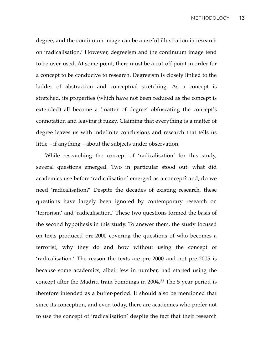degree, and the continuum image can be a useful illustration in research on 'radicalisation.' However, degreeism and the continuum image tend to be over-used. At some point, there must be a cut-off point in order for a concept to be conducive to research. Degreeism is closely linked to the ladder of abstraction and conceptual stretching. As a concept is stretched, its properties (which have not been reduced as the concept is extended) all become a 'matter of degree' obfuscating the concept's connotation and leaving it fuzzy. Claiming that everything is a matter of degree leaves us with indefinite conclusions and research that tells us little – if anything – about the subjects under observation.

While researching the concept of 'radicalisation' for this study, several questions emerged. Two in particular stood out: what did academics use before 'radicalisation' emerged as a concept? and; do we need 'radicalisation?' Despite the decades of existing research, these questions have largely been ignored by contemporary research on 'terrorism' and 'radicalisation.' These two questions formed the basis of the second hypothesis in this study. To answer them, the study focused on texts produced pre-2000 covering the questions of who becomes a terrorist, why they do and how without using the concept of 'radicalisation.' The reason the texts are pre-2000 and not pre-2005 is because some academics, albeit few in number, had started using the concept after the Madrid train bombings in 2004.33 The 5-year period is therefore intended as a buffer-period. It should also be mentioned that since its conception, and even today, there are academics who prefer not to use the concept of 'radicalisation' despite the fact that their research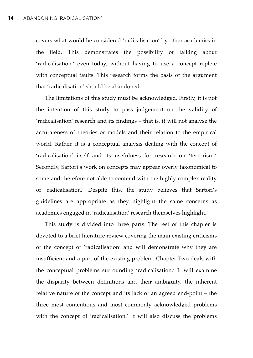covers what would be considered 'radicalisation' by other academics in the field. This demonstrates the possibility of talking about 'radicalisation,' even today, without having to use a concept replete with conceptual faults. This research forms the basis of the argument that 'radicalisation' should be abandoned.

The limitations of this study must be acknowledged. Firstly, it is not the intention of this study to pass judgement on the validity of 'radicalisation' research and its findings – that is, it will not analyse the accurateness of theories or models and their relation to the empirical world. Rather, it is a conceptual analysis dealing with the concept of 'radicalisation' itself and its usefulness for research on 'terrorism.' Secondly, Sartori's work on concepts may appear overly taxonomical to some and therefore not able to contend with the highly complex reality of 'radicalisation.' Despite this, the study believes that Sartori's guidelines are appropriate as they highlight the same concerns as academics engaged in 'radicalisation' research themselves highlight.

This study is divided into three parts. The rest of this chapter is devoted to a brief literature review covering the main existing criticisms of the concept of 'radicalisation' and will demonstrate why they are insufficient and a part of the existing problem. Chapter Two deals with the conceptual problems surrounding 'radicalisation.' It will examine the disparity between definitions and their ambiguity, the inherent relative nature of the concept and its lack of an agreed end-point – the three most contentious and most commonly acknowledged problems with the concept of 'radicalisation.' It will also discuss the problems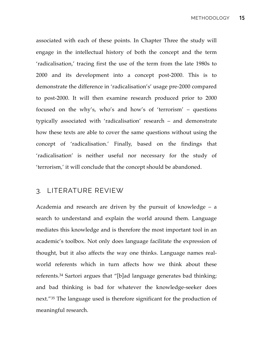associated with each of these points. In Chapter Three the study will engage in the intellectual history of both the concept and the term 'radicalisation,' tracing first the use of the term from the late 1980s to 2000 and its development into a concept post-2000. This is to demonstrate the difference in 'radicalisation's' usage pre-2000 compared to post-2000. It will then examine research produced prior to 2000 focused on the why's, who's and how's of 'terrorism' – questions typically associated with 'radicalisation' research – and demonstrate how these texts are able to cover the same questions without using the concept of 'radicalisation.' Finally, based on the findings that 'radicalisation' is neither useful nor necessary for the study of 'terrorism,' it will conclude that the concept should be abandoned.

#### 3. LITERATURE REVIEW

Academia and research are driven by the pursuit of knowledge – a search to understand and explain the world around them. Language mediates this knowledge and is therefore the most important tool in an academic's toolbox. Not only does language facilitate the expression of thought, but it also affects the way one thinks. Language names realworld referents which in turn affects how we think about these referents.34 Sartori argues that "[b]ad language generates bad thinking; and bad thinking is bad for whatever the knowledge-seeker does next."35 The language used is therefore significant for the production of meaningful research.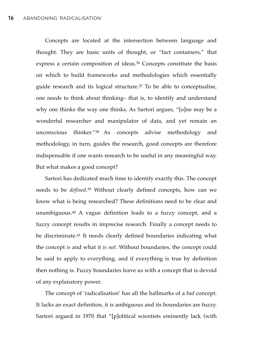Concepts are located at the intersection between language and thought. They are basic units of thought, or "fact containers," that express a certain composition of ideas.<sup>36</sup> Concepts constitute the basis on which to build frameworks and methodologies which essentially guide research and its logical structure.37 To be able to conceptualise, one needs to think about thinking– that is, to identify and understand why one thinks the way one thinks. As Sartori argues, "[o]ne may be a wonderful researcher and manipulator of data, and yet remain an unconscious thinker."38 As concepts advise methodology and methodology, in turn, guides the research, good concepts are therefore indispensable if one wants research to be useful in any meaningful way. But what makes a good concept?

Sartori has dedicated much time to identify exactly this. The concept needs to be *defined*.39 Without clearly defined concepts, how can we know what is being researched? These definitions need to be clear and unambiguous.40 A vague definition leads to a fuzzy concept, and a fuzzy concept results in imprecise research. Finally a concept needs to be discriminate.41 It needs clearly defined boundaries indicating what the concept *is* and what it *is not*. Without boundaries, the concept could be said to apply to everything, and if everything is true by definition then nothing is. Fuzzy boundaries leave us with a concept that is devoid of any explanatory power.

The concept of 'radicalisation' has all the hallmarks of a *bad* concept. It lacks an exact definition, it is ambiguous and its boundaries are fuzzy. Sartori argued in 1970 that "[p]olitical scientists eminently lack (with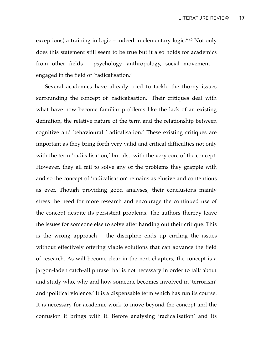exceptions) a training in logic – indeed in elementary logic."42 Not only does this statement still seem to be true but it also holds for academics from other fields – psychology, anthropology, social movement – engaged in the field of 'radicalisation.'

Several academics have already tried to tackle the thorny issues surrounding the concept of 'radicalisation.' Their critiques deal with what have now become familiar problems like the lack of an existing definition, the relative nature of the term and the relationship between cognitive and behavioural 'radicalisation.' These existing critiques are important as they bring forth very valid and critical difficulties not only with the term 'radicalisation,' but also with the very core of the concept. However, they all fail to solve any of the problems they grapple with and so the concept of 'radicalisation' remains as elusive and contentious as ever. Though providing good analyses, their conclusions mainly stress the need for more research and encourage the continued use of the concept despite its persistent problems. The authors thereby leave the issues for someone else to solve after handing out their critique. This is the wrong approach – the discipline ends up circling the issues without effectively offering viable solutions that can advance the field of research. As will become clear in the next chapters, the concept is a jargon-laden catch-all phrase that is not necessary in order to talk about and study who, why and how someone becomes involved in 'terrorism' and 'political violence.' It is a dispensable term which has run its course. It is necessary for academic work to move beyond the concept and the confusion it brings with it. Before analysing 'radicalisation' and its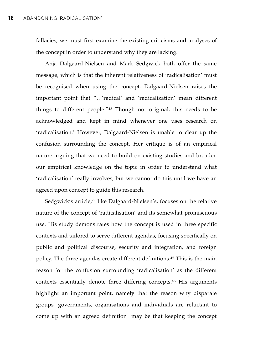fallacies, we must first examine the existing criticisms and analyses of the concept in order to understand why they are lacking.

Anja Dalgaard-Nielsen and Mark Sedgwick both offer the same message, which is that the inherent relativeness of 'radicalisation' must be recognised when using the concept. Dalgaard-Nielsen raises the important point that "…'radical' and 'radicalization' mean different things to different people."43 Though not original, this needs to be acknowledged and kept in mind whenever one uses research on 'radicalisation.' However, Dalgaard-Nielsen is unable to clear up the confusion surrounding the concept. Her critique is of an empirical nature arguing that we need to build on existing studies and broaden our empirical knowledge on the topic in order to understand what 'radicalisation' really involves, but we cannot do this until we have an agreed upon concept to guide this research.

Sedgwick's article,<sup>44</sup> like Dalgaard-Nielsen's, focuses on the relative nature of the concept of 'radicalisation' and its somewhat promiscuous use. His study demonstrates how the concept is used in three specific contexts and tailored to serve different agendas, focusing specifically on public and political discourse, security and integration, and foreign policy. The three agendas create different definitions.45 This is the main reason for the confusion surrounding 'radicalisation' as the different contexts essentially denote three differing concepts.46 His arguments highlight an important point, namely that the reason why disparate groups, governments, organisations and individuals are reluctant to come up with an agreed definition may be that keeping the concept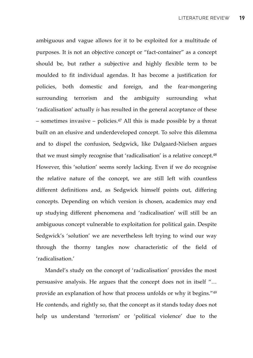ambiguous and vague allows for it to be exploited for a multitude of purposes. It is not an objective concept or "fact-container" as a concept should be, but rather a subjective and highly flexible term to be moulded to fit individual agendas. It has become a justification for policies, both domestic and foreign, and the fear-mongering surrounding terrorism and the ambiguity surrounding what 'radicalisation' actually *is* has resulted in the general acceptance of these – sometimes invasive – policies.<sup>47</sup> All this is made possible by a threat built on an elusive and underdeveloped concept. To solve this dilemma and to dispel the confusion, Sedgwick, like Dalgaard-Nielsen argues that we must simply recognise that 'radicalisation' is a relative concept.48 However, this 'solution' seems sorely lacking. Even if we do recognise the relative nature of the concept, we are still left with countless different definitions and, as Sedgwick himself points out, differing concepts. Depending on which version is chosen, academics may end up studying different phenomena and 'radicalisation' will still be an ambiguous concept vulnerable to exploitation for political gain. Despite Sedgwick's 'solution' we are nevertheless left trying to wind our way through the thorny tangles now characteristic of the field of 'radicalisation.'

Mandel's study on the concept of 'radicalisation' provides the most persuasive analysis. He argues that the concept does not in itself "… provide an explanation of how that process unfolds or why it begins."49 He contends, and rightly so, that the concept as it stands today does not help us understand 'terrorism' or 'political violence' due to the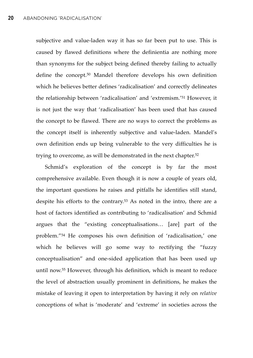subjective and value-laden way it has so far been put to use. This is caused by flawed definitions where the definientia are nothing more than synonyms for the subject being defined thereby failing to actually define the concept.50 Mandel therefore develops his own definition which he believes better defines 'radicalisation' and correctly delineates the relationship between 'radicalisation' and 'extremism.'51 However, it is not just the way that 'radicalisation' has been used that has caused the concept to be flawed. There are no ways to correct the problems as the concept itself is inherently subjective and value-laden. Mandel's own definition ends up being vulnerable to the very difficulties he is trying to overcome, as will be demonstrated in the next chapter.52

Schmid's exploration of the concept is by far the most comprehensive available. Even though it is now a couple of years old, the important questions he raises and pitfalls he identifies still stand, despite his efforts to the contrary.53 As noted in the intro, there are a host of factors identified as contributing to 'radicalisation' and Schmid argues that the "existing conceptualisations… [are] part of the problem."54 He composes his own definition of 'radicalisation,' one which he believes will go some way to rectifying the "fuzzy conceptualisation" and one-sided application that has been used up until now.55 However, through his definition, which is meant to reduce the level of abstraction usually prominent in definitions, he makes the mistake of leaving it open to interpretation by having it rely on *relative* conceptions of what is 'moderate' and 'extreme' in societies across the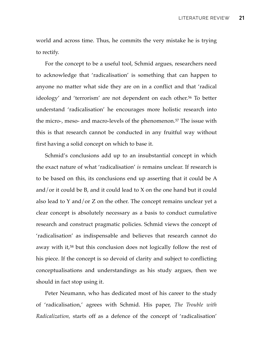world and across time. Thus, he commits the very mistake he is trying to rectify.

For the concept to be a useful tool, Schmid argues, researchers need to acknowledge that 'radicalisation' is something that can happen to anyone no matter what side they are on in a conflict and that 'radical ideology' and 'terrorism' are not dependent on each other.<sup>56</sup> To better understand 'radicalisation' he encourages more holistic research into the micro-, meso- and macro-levels of the phenomenon.57 The issue with this is that research cannot be conducted in any fruitful way without first having a solid concept on which to base it.

Schmid's conclusions add up to an insubstantial concept in which the exact nature of what 'radicalisation' *is* remains unclear. If research is to be based on this, its conclusions end up asserting that it could be A and/or it could be B, and it could lead to X on the one hand but it could also lead to Y and/or Z on the other. The concept remains unclear yet a clear concept is absolutely necessary as a basis to conduct cumulative research and construct pragmatic policies. Schmid views the concept of 'radicalisation' as indispensable and believes that research cannot do away with it,<sup>58</sup> but this conclusion does not logically follow the rest of his piece. If the concept is so devoid of clarity and subject to conflicting conceptualisations and understandings as his study argues, then we should in fact stop using it.

Peter Neumann, who has dedicated most of his career to the study of 'radicalisation,' agrees with Schmid. His paper, *The Trouble with Radicalization,* starts off as a defence of the concept of 'radicalisation'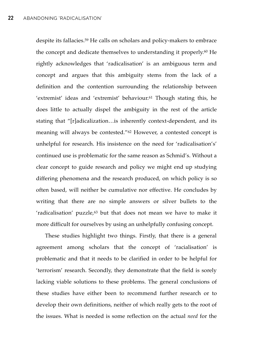despite its fallacies.59 He calls on scholars and policy-makers to embrace the concept and dedicate themselves to understanding it properly.60 He rightly acknowledges that 'radicalisation' is an ambiguous term and concept and argues that this ambiguity stems from the lack of a definition and the contention surrounding the relationship between 'extremist' ideas and 'extremist' behaviour.61 Though stating this, he does little to actually dispel the ambiguity in the rest of the article stating that "[r]adicalization…is inherently context-dependent, and its meaning will always be contested."62 However, a contested concept is unhelpful for research. His insistence on the need for 'radicalisation's' continued use is problematic for the same reason as Schmid's. Without a clear concept to guide research and policy we might end up studying differing phenomena and the research produced, on which policy is so often based, will neither be cumulative nor effective. He concludes by writing that there are no simple answers or silver bullets to the 'radicalisation' puzzle,<sup>63</sup> but that does not mean we have to make it more difficult for ourselves by using an unhelpfully confusing concept.

These studies highlight two things. Firstly, that there is a general agreement among scholars that the concept of 'racialisation' is problematic and that it needs to be clarified in order to be helpful for 'terrorism' research. Secondly, they demonstrate that the field is sorely lacking viable solutions to these problems. The general conclusions of these studies have either been to recommend further research or to develop their own definitions, neither of which really gets to the root of the issues. What is needed is some reflection on the actual *need* for the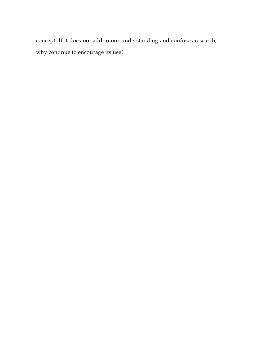concept. If it does not add to our understanding and confuses research, why continue to encourage its use?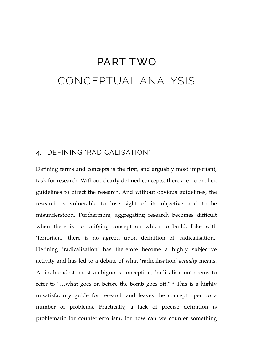## PART TWO CONCEPTUAL ANALYSIS

#### 4. DEFINING 'RADICALISATION'

Defining terms and concepts is the first, and arguably most important, task for research. Without clearly defined concepts, there are no explicit guidelines to direct the research. And without obvious guidelines, the research is vulnerable to lose sight of its objective and to be misunderstood. Furthermore, aggregating research becomes difficult when there is no unifying concept on which to build. Like with 'terrorism,' there is no agreed upon definition of 'radicalisation.' Defining 'radicalisation' has therefore become a highly subjective activity and has led to a debate of what 'radicalisation' *actually* means. At its broadest, most ambiguous conception, 'radicalisation' seems to refer to "…what goes on before the bomb goes off."64 This is a highly unsatisfactory guide for research and leaves the concept open to a number of problems. Practically, a lack of precise definition is problematic for counterterrorism, for how can we counter something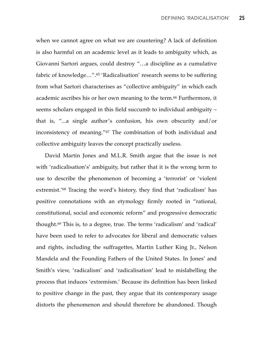when we cannot agree on what we are countering? A lack of definition is also harmful on an academic level as it leads to ambiguity which, as Giovanni Sartori argues, could destroy "…a discipline as a cumulative fabric of knowledge…".65 'Radicalisation' research seems to be suffering from what Sartori characterises as "collective ambiguity" in which each academic ascribes his or her own meaning to the term.66 Furthermore, it seems scholars engaged in this field succumb to individual ambiguity – that is, "...a single author's confusion, his own obscurity and/or inconsistency of meaning."67 The combination of both individual and collective ambiguity leaves the concept practically useless.

David Martin Jones and M.L.R. Smith argue that the issue is not with 'radicalisation's' ambiguity, but rather that it is the wrong term to use to describe the phenomenon of becoming a 'terrorist' or 'violent extremist.'68 Tracing the word's history, they find that 'radicalism' has positive connotations with an etymology firmly rooted in "rational, constitutional, social and economic reform" and progressive democratic thought.69 This is, to a degree, true. The terms 'radicalism' and 'radical' have been used to refer to advocates for liberal and democratic values and rights, including the suffragettes, Martin Luther King Jr., Nelson Mandela and the Founding Fathers of the United States. In Jones' and Smith's view, 'radicalism' and 'radicalisation' lead to mislabelling the process that induces 'extremism.' Because its definition has been linked to positive change in the past, they argue that its contemporary usage distorts the phenomenon and should therefore be abandoned. Though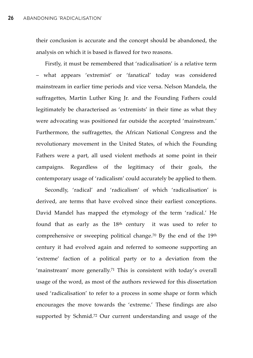their conclusion is accurate and the concept should be abandoned, the analysis on which it is based is flawed for two reasons.

Firstly, it must be remembered that 'radicalisation' is a relative term – what appears 'extremist' or 'fanatical' today was considered mainstream in earlier time periods and vice versa. Nelson Mandela, the suffragettes, Martin Luther King Jr. and the Founding Fathers could legitimately be characterised as 'extremists' in their time as what they were advocating was positioned far outside the accepted 'mainstream.' Furthermore, the suffragettes, the African National Congress and the revolutionary movement in the United States, of which the Founding Fathers were a part, all used violent methods at some point in their campaigns. Regardless of the legitimacy of their goals, the contemporary usage of 'radicalism' could accurately be applied to them.

Secondly, 'radical' and 'radicalism' of which 'radicalisation' is derived, are terms that have evolved since their earliest conceptions. David Mandel has mapped the etymology of the term 'radical.' He found that as early as the  $18<sup>th</sup>$  century it was used to refer to comprehensive or sweeping political change.70 By the end of the 19th century it had evolved again and referred to someone supporting an 'extreme' faction of a political party or to a deviation from the 'mainstream' more generally.71 This is consistent with today's overall usage of the word, as most of the authors reviewed for this dissertation used 'radicalisation' to refer to a process in some shape or form which encourages the move towards the 'extreme.' These findings are also supported by Schmid.72 Our current understanding and usage of the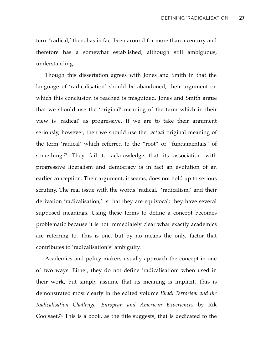term 'radical,' then, has in fact been around for more than a century and therefore has a somewhat established, although still ambiguous, understanding.

Though this dissertation agrees with Jones and Smith in that the language of 'radicalisation' should be abandoned, their argument on which this conclusion is reached is misguided. Jones and Smith argue that we should use the 'original' meaning of the term which in their view is 'radical' as progressive. If we are to take their argument seriously, however, then we should use the *actual* original meaning of the term 'radical' which referred to the "root" or "fundamentals" of something.73 They fail to acknowledge that its association with progressive liberalism and democracy is in fact an evolution of an earlier conception. Their argument, it seems, does not hold up to serious scrutiny. The real issue with the words 'radical,' 'radicalism,' and their derivation 'radicalisation,' is that they are equivocal: they have several supposed meanings. Using these terms to define a concept becomes problematic because it is not immediately clear what exactly academics are referring to. This is one, but by no means the only, factor that contributes to 'radicalisation's' ambiguity.

Academics and policy makers usually approach the concept in one of two ways. Either, they do not define 'radicalisation' when used in their work, but simply assume that its meaning is implicit. This is demonstrated most clearly in the edited volume *Jihadi Terrorism and the Radicalisation Challenge. European and American Experiences* by Rik Coolsaet.74 This is a book, as the title suggests, that is dedicated to the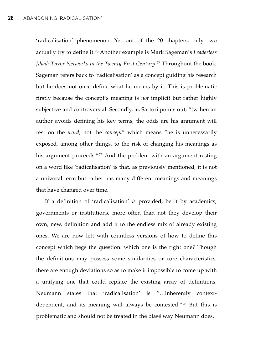'radicalisation' phenomenon. Yet out of the 20 chapters, only two actually try to define it.75 Another example is Mark Sageman's *Leaderless Jihad: Terror Networks in the Twenty-First Century*.76 Throughout the book, Sageman refers back to 'radicalisation' as a concept guiding his research but he does not once define what he means by it. This is problematic firstly because the concept's meaning is *not* implicit but rather highly subjective and controversial. Secondly, as Sartori points out, "[w]hen an author avoids defining his key terms, the odds are his argument will rest on the *word,* not the *concept*" which means "he is unnecessarily exposed, among other things, to the risk of changing his meanings as his argument proceeds."77 And the problem with an argument resting on a word like 'radicalisation' is that, as previously mentioned, it is not a univocal term but rather has many different meanings and meanings that have changed over time.

If a definition of 'radicalisation' *is* provided, be it by academics, governments or institutions, more often than not they develop their own, new, definition and add it to the endless mix of already existing ones. We are now left with countless versions of how to define this concept which begs the question: which one is the right one? Though the definitions may possess some similarities or core characteristics, there are enough deviations so as to make it impossible to come up with a unifying one that could replace the existing array of definitions. Neumann states that 'radicalisation' is "…inherently contextdependent, and its meaning will always be contested."78 But this is problematic and should not be treated in the blasé way Neumann does.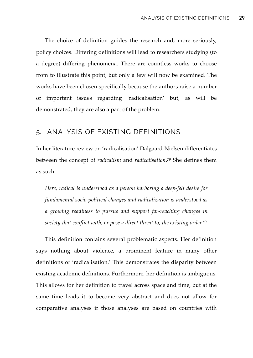The choice of definition guides the research and, more seriously, policy choices. Differing definitions will lead to researchers studying (to a degree) differing phenomena. There are countless works to choose from to illustrate this point, but only a few will now be examined. The works have been chosen specifically because the authors raise a number of important issues regarding 'radicalisation' but, as will be demonstrated, they are also a part of the problem.

#### 5. ANALYSIS OF EXISTING DEFINITIONS

In her literature review on 'radicalisation' Dalgaard-Nielsen differentiates between the concept of *radicalism* and *radicalisation*.79 She defines them as such:

*Here, radical is understood as a person harboring a deep-felt desire for fundamental socio-political changes and radicalization is understood as a growing readiness to pursue and support far-reaching changes in society that conflict with, or pose a direct threat to, the existing order.80*

This definition contains several problematic aspects. Her definition says nothing about violence, a prominent feature in many other definitions of 'radicalisation.' This demonstrates the disparity between existing academic definitions. Furthermore, her definition is ambiguous. This allows for her definition to travel across space and time, but at the same time leads it to become very abstract and does not allow for comparative analyses if those analyses are based on countries with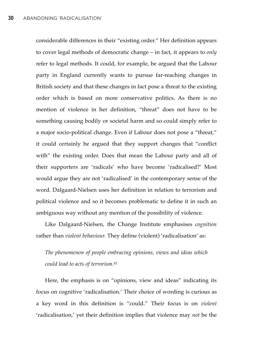considerable differences in their "existing order." Her definition appears to cover legal methods of democratic change – in fact, it appears to *only* refer to legal methods. It could, for example, be argued that the Labour party in England currently wants to pursue far-reaching changes in British society and that these changes in fact pose a threat to the existing order which is based on more conservative politics. As there is no mention of violence in her definition, "threat" does not have to be something causing bodily or societal harm and so could simply refer to a major socio-political change. Even if Labour does not pose a "threat," it could certainly be argued that they support changes that "conflict with" the existing order. Does that mean the Labour party and all of their supporters are 'radicals' who have become 'radicalised?' Most would argue they are not 'radicalised' in the contemporary sense of the word. Dalgaard-Nielsen uses her definition in relation to terrorism and political violence and so it becomes problematic to define it in such an ambiguous way without any mention of the possibility of violence.

Like Dalgaard-Nielsen, the Change Institute emphasises *cognition* rather than *violent behaviour.* They define (violent) 'radicalisation' as:

*The phenomenon of people embracing opinions, views and ideas which could lead to acts of terrorism.81*

Here, the emphasis is on "opinions, view and ideas" indicating its focus on cognitive 'radicalisation.' Their choice of wording is curious as a key word in this definition is "could." Their focus is on *violent* 'radicalisation,' yet their definition implies that violence may *not* be the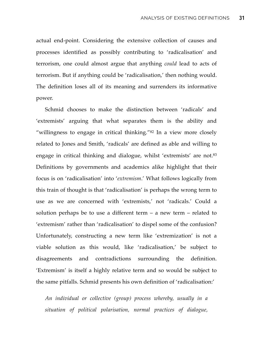actual end-point. Considering the extensive collection of causes and processes identified as possibly contributing to 'radicalisation' and terrorism, one could almost argue that anything *could* lead to acts of terrorism. But if anything could be 'radicalisation,' then nothing would. The definition loses all of its meaning and surrenders its informative power.

Schmid chooses to make the distinction between 'radicals' and 'extremists' arguing that what separates them is the ability and "willingness to engage in critical thinking."82 In a view more closely related to Jones and Smith, 'radicals' are defined as able and willing to engage in critical thinking and dialogue, whilst 'extremists' are not.83 Definitions by governments and academics alike highlight that their focus is on 'radicalisation' into '*extremism*.' What follows logically from this train of thought is that 'radicalisation' is perhaps the wrong term to use as we are concerned with 'extremists,' not 'radicals.' Could a solution perhaps be to use a different term  $-$  a new term  $-$  related to 'extremism' rather than 'radicalisation' to dispel some of the confusion? Unfortunately, constructing a new term like 'extremization' is not a viable solution as this would, like 'radicalisation,' be subject to disagreements and contradictions surrounding the definition. 'Extremism' is itself a highly relative term and so would be subject to the same pitfalls. Schmid presents his own definition of 'radicalisation:'

*An individual or collective (group) process whereby, usually in a situation of political polarisation, normal practices of dialogue,*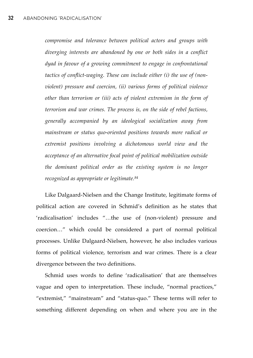*compromise and tolerance between political actors and groups with diverging interests are abandoned by one or both sides in a conflict dyad in favour of a growing commitment to engage in confrontational tactics of conflict-waging. These can include either (i) the use of (nonviolent) pressure and coercion, (ii) various forms of political violence other than terrorism or (iii) acts of violent extremism in the form of terrorism and war crimes. The process is, on the side of rebel factions, generally accompanied by an ideological socialization away from mainstream or status quo-oriented positions towards more radical or extremist positions involving a dichotomous world view and the acceptance of an alternative focal point of political mobilization outside the dominant political order as the existing system is no longer recognized as appropriate or legitimate.84*

Like Dalgaard-Nielsen and the Change Institute, legitimate forms of political action are covered in Schmid's definition as he states that 'radicalisation' includes "…the use of (non-violent) pressure and coercion…" which could be considered a part of normal political processes. Unlike Dalgaard-Nielsen, however, he also includes various forms of political violence, terrorism and war crimes. There is a clear divergence between the two definitions.

Schmid uses words to define 'radicalisation' that are themselves vague and open to interpretation. These include, "normal practices," "extremist," "mainstream" and "status-quo." These terms will refer to something different depending on when and where you are in the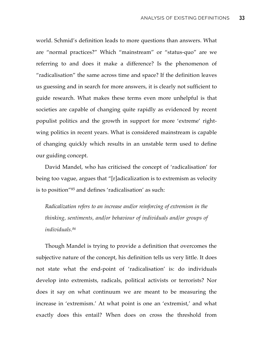world. Schmid's definition leads to more questions than answers. What are "normal practices?" Which "mainstream" or "status-quo" are we referring to and does it make a difference? Is the phenomenon of "radicalisation" the same across time and space? If the definition leaves us guessing and in search for more answers, it is clearly not sufficient to guide research. What makes these terms even more unhelpful is that societies are capable of changing quite rapidly as evidenced by recent populist politics and the growth in support for more 'extreme' rightwing politics in recent years. What is considered mainstream is capable of changing quickly which results in an unstable term used to define our guiding concept.

David Mandel, who has criticised the concept of 'radicalisation' for being too vague, argues that "[r]adicalization is to extremism as velocity is to position"85 and defines 'radicalisation' as such:

*Radicalization refers to an increase and/or reinforcing of extremism in the thinking, sentiments, and/or behaviour of individuals and/or groups of individuals.86*

Though Mandel is trying to provide a definition that overcomes the subjective nature of the concept, his definition tells us very little. It does not state what the end-point of 'radicalisation' is: do individuals develop into extremists, radicals, political activists or terrorists? Nor does it say on what continuum we are meant to be measuring the increase in 'extremism.' At what point is one an 'extremist,' and what exactly does this entail? When does on cross the threshold from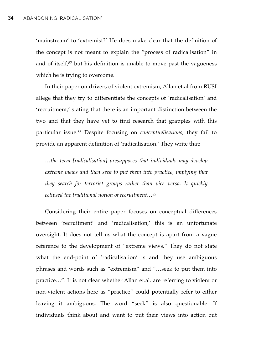'mainstream' to 'extremist?' He does make clear that the definition of the concept is not meant to explain the "process of radicalisation" in and of itself,<sup>87</sup> but his definition is unable to move past the vagueness which he is trying to overcome.

In their paper on drivers of violent extremism, Allan et.al from RUSI allege that they try to differentiate the concepts of 'radicalisation' and 'recruitment,' stating that there is an important distinction between the two and that they have yet to find research that grapples with this particular issue.88 Despite focusing on *conceptualisations*, they fail to provide an apparent definition of 'radicalisation.' They write that:

*…the term [radicalisation] presupposes that individuals may develop extreme views and then seek to put them into practice, implying that they search for terrorist groups rather than vice versa. It quickly eclipsed the traditional notion of recruitment…89*

Considering their entire paper focuses on conceptual differences between 'recruitment' and 'radicalisation,' this is an unfortunate oversight. It does not tell us what the concept is apart from a vague reference to the development of "extreme views." They do not state what the end-point of 'radicalisation' is and they use ambiguous phrases and words such as "extremism" and "…seek to put them into practice…". It is not clear whether Allan et.al. are referring to violent or non-violent actions here as "practice" could potentially refer to either leaving it ambiguous. The word "seek" is also questionable. If individuals think about and want to put their views into action but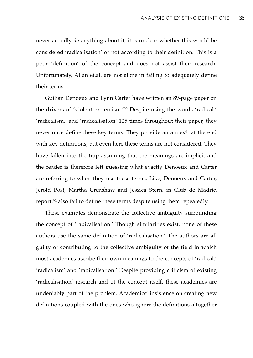never actually *do* anything about it, it is unclear whether this would be considered 'radicalisation' or not according to their definition. This is a poor 'definition' of the concept and does not assist their research. Unfortunately, Allan et.al. are not alone in failing to adequately define their terms.

Guilian Denoeux and Lynn Carter have written an 89-page paper on the drivers of 'violent extremism.'90 Despite using the words 'radical,' 'radicalism,' and 'radicalisation' 125 times throughout their paper, they never once define these key terms. They provide an annex<sup>91</sup> at the end with key definitions, but even here these terms are not considered. They have fallen into the trap assuming that the meanings are implicit and the reader is therefore left guessing what exactly Denoeux and Carter are referring to when they use these terms. Like, Denoeux and Carter, Jerold Post, Martha Crenshaw and Jessica Stern, in Club de Madrid report,92 also fail to define these terms despite using them repeatedly.

These examples demonstrate the collective ambiguity surrounding the concept of 'radicalisation.' Though similarities exist, none of these authors use the same definition of 'radicalisation.' The authors are all guilty of contributing to the collective ambiguity of the field in which most academics ascribe their own meanings to the concepts of 'radical,' 'radicalism' and 'radicalisation.' Despite providing criticism of existing 'radicalisation' research and of the concept itself, these academics are undeniably part of the problem. Academics' insistence on creating new definitions coupled with the ones who ignore the definitions altogether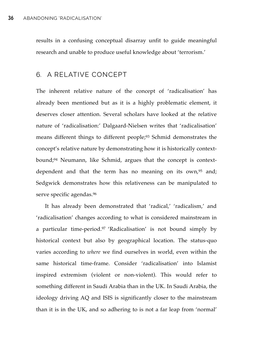results in a confusing conceptual disarray unfit to guide meaningful research and unable to produce useful knowledge about 'terrorism.'

# 6. A RELATIVE CONCEPT

The inherent relative nature of the concept of 'radicalisation' has already been mentioned but as it is a highly problematic element, it deserves closer attention. Several scholars have looked at the relative nature of 'radicalisation:' Dalgaard-Nielsen writes that 'radicalisation' means different things to different people;<sup>93</sup> Schmid demonstrates the concept's relative nature by demonstrating how it is historically contextbound;94 Neumann, like Schmid, argues that the concept is contextdependent and that the term has no meaning on its own,<sup>95</sup> and; Sedgwick demonstrates how this relativeness can be manipulated to serve specific agendas.<sup>96</sup>

It has already been demonstrated that 'radical,' 'radicalism,' and 'radicalisation' changes according to what is considered mainstream in a particular time-period.97 'Radicalisation' is not bound simply by historical context but also by geographical location. The status-quo varies according to *where* we find ourselves in world, even within the same historical time-frame. Consider 'radicalisation' into Islamist inspired extremism (violent or non-violent). This would refer to something different in Saudi Arabia than in the UK. In Saudi Arabia, the ideology driving AQ and ISIS is significantly closer to the mainstream than it is in the UK, and so adhering to is not a far leap from 'normal'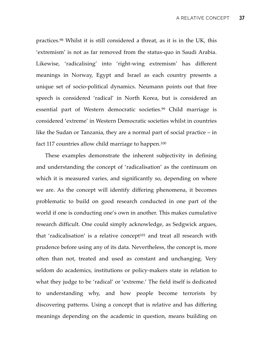practices.98 Whilst it is still considered a threat, as it is in the UK, this 'extremism' is not as far removed from the status-quo in Saudi Arabia. Likewise, 'radicalising' into 'right-wing extremism' has different meanings in Norway, Egypt and Israel as each country presents a unique set of socio-political dynamics. Neumann points out that free speech is considered 'radical' in North Korea, but is considered an essential part of Western democratic societies.99 Child marriage is considered 'extreme' in Western Democratic societies whilst in countries like the Sudan or Tanzania, they are a normal part of social practice – in fact 117 countries allow child marriage to happen.100

These examples demonstrate the inherent subjectivity in defining and understanding the concept of 'radicalisation' as the continuum on which it is measured varies, and significantly so, depending on where we are. As the concept will identify differing phenomena, it becomes problematic to build on good research conducted in one part of the world if one is conducting one's own in another. This makes cumulative research difficult. One could simply acknowledge, as Sedgwick argues, that 'radicalisation' is a relative concept<sup>101</sup> and treat all research with prudence before using any of its data. Nevertheless, the concept is, more often than not, treated and used as constant and unchanging. Very seldom do academics, institutions or policy-makers state in relation to what they judge to be 'radical' or 'extreme.' The field itself is dedicated to understanding why, and how people become terrorists by discovering patterns. Using a concept that is relative and has differing meanings depending on the academic in question, means building on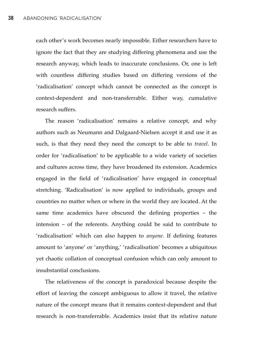each other's work becomes nearly impossible. Either researchers have to ignore the fact that they are studying differing phenomena and use the research anyway, which leads to inaccurate conclusions. Or, one is left with countless differing studies based on differing versions of the 'radicalisation' concept which cannot be connected as the concept is context-dependent and non-transferrable. Either way, cumulative research suffers.

The reason 'radicalisation' remains a relative concept, and why authors such as Neumann and Dalgaard-Nielsen accept it and use it as such, is that they need they need the concept to be able to *travel*. In order for 'radicalisation' to be applicable to a wide variety of societies and cultures across time, they have broadened its extension. Academics engaged in the field of 'radicalisation' have engaged in conceptual stretching. 'Radicalisation' is now applied to individuals, groups and countries no matter when or where in the world they are located. At the same time academics have obscured the defining properties – the intension – of the referents. Anything could be said to contribute to 'radicalisation' which can also happen to *anyone.* If defining features amount to 'anyone' or 'anything,' 'radicalisation' becomes a ubiquitous yet chaotic collation of conceptual confusion which can only amount to insubstantial conclusions.

The relativeness of the concept is paradoxical because despite the effort of leaving the concept ambiguous to allow it travel, the relative nature of the concept means that it remains context-dependent and that research is non-transferrable. Academics insist that its relative nature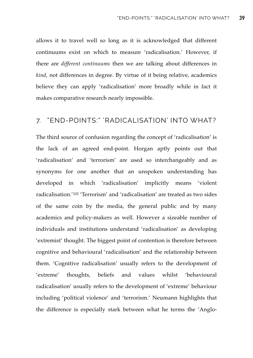allows it to travel well so long as it is acknowledged that different continuums exist on which to measure 'radicalisation.' However, if there are *different continuums* then we are talking about differences in *kind*, not differences in degree. By virtue of it being relative, academics believe they can apply 'radicalisation' more broadly while in fact it makes comparative research nearly impossible.

### 7. "END-POINTS:" 'RADICALISATION' INTO WHAT?

The third source of confusion regarding the concept of 'radicalisation' is the lack of an agreed end-point. Horgan aptly points out that 'radicalisation' and 'terrorism' are used so interchangeably and as synonyms for one another that an unspoken understanding has developed in which 'radicalisation' implicitly means 'violent radicalisation.'102 'Terrorism' and 'radicalisation' are treated as two sides of the same coin by the media, the general public and by many academics and policy-makers as well. However a sizeable number of individuals and institutions understand 'radicalisation' as developing 'extremist' thought. The biggest point of contention is therefore between cognitive and behavioural 'radicalisation' and the relationship between them. 'Cognitive radicalisation' usually refers to the development of 'extreme' thoughts, beliefs and values whilst 'behavioural radicalisation' usually refers to the development of 'extreme' behaviour including 'political violence' and 'terrorism.' Neumann highlights that the difference is especially stark between what he terms the 'Anglo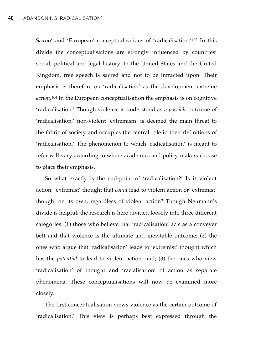Saxon' and 'European' conceptualisations of 'radicalisation.'103 In this divide the conceptualisations are strongly influenced by countries' social, political and legal history. In the United States and the United Kingdom, free speech is sacred and not to be infracted upon. Their emphasis is therefore on 'radicalisation' as the development extreme *action*.104 In the European conceptualisation the emphasis is on cognitive 'radicalisation.' Though violence is understood as a *possible* outcome of 'radicalisation,' non-violent 'extremism' is deemed the main threat to the fabric of society and occupies the central role in their definitions of 'radicalisation.' The phenomenon to which 'radicalisation' is meant to refer will vary according to where academics and policy-makers choose to place their emphasis.

So what exactly is the end-point of 'radicalisation?' Is it violent action, 'extremist' thought that *could* lead to violent action or 'extremist' thought on its own, regardless of violent action? Though Neumann's divide is helpful, the research is here divided loosely into three different categories: (1) those who believe that 'radicalisation' acts as a conveyer belt and that violence is the ultimate and inevitable outcome; (2) the ones who argue that 'radicalisation' leads to 'extremist' thought which has the *potential* to lead to violent action, and; (3) the ones who view 'radicalisation' of thought and 'racialisation' of action as separate phenomena. These conceptualisations will now be examined more closely.

The first conceptualisation views violence as the certain outcome of 'radicalisation.' This view is perhaps best expressed through the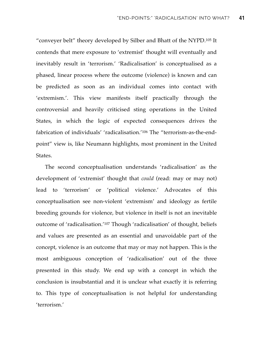"conveyer belt" theory developed by Silber and Bhatt of the NYPD.105 It contends that mere exposure to 'extremist' thought will eventually and inevitably result in 'terrorism.' 'Radicalisation' is conceptualised as a phased, linear process where the outcome (violence) is known and can be predicted as soon as an individual comes into contact with 'extremism.'. This view manifests itself practically through the controversial and heavily criticised sting operations in the United States, in which the logic of expected consequences drives the fabrication of individuals' 'radicalisation.'106 The "terrorism-as-the-endpoint" view is, like Neumann highlights, most prominent in the United States.

The second conceptualisation understands 'radicalisation' as the development of 'extremist' thought that *could* (read: may or may not) lead to 'terrorism' or 'political violence.' Advocates of this conceptualisation see non-violent 'extremism' and ideology as fertile breeding grounds for violence, but violence in itself is not an inevitable outcome of 'radicalisation.'107 Though 'radicalisation' of thought, beliefs and values are presented as an essential and unavoidable part of the concept, violence is an outcome that may or may not happen. This is the most ambiguous conception of 'radicalisation' out of the three presented in this study. We end up with a concept in which the conclusion is insubstantial and it is unclear what exactly it is referring to. This type of conceptualisation is not helpful for understanding 'terrorism.'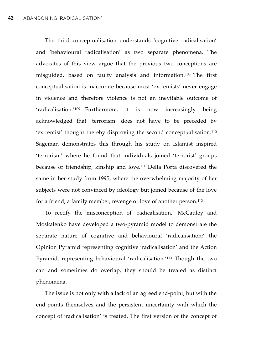The third conceptualisation understands 'cognitive radicalisation' and 'behavioural radicalisation' as two separate phenomena. The advocates of this view argue that the previous two conceptions are misguided, based on faulty analysis and information.108 The first conceptualisation is inaccurate because most 'extremists' never engage in violence and therefore violence is not an inevitable outcome of 'radicalisation.'109 Furthermore, it is now increasingly being acknowledged that 'terrorism' does not have to be preceded by 'extremist' thought thereby disproving the second conceptualisation.110 Sageman demonstrates this through his study on Islamist inspired 'terrorism' where he found that individuals joined 'terrorist' groups because of friendship, kinship and love.111 Della Porta discovered the same in her study from 1995, where the overwhelming majority of her subjects were not convinced by ideology but joined because of the love for a friend, a family member, revenge or love of another person.112

To rectify the misconception of 'radicalisation,' McCauley and Moskalenko have developed a two-pyramid model to demonstrate the separate nature of cognitive and behavioural 'radicalisation:' the Opinion Pyramid representing cognitive 'radicalisation' and the Action Pyramid, representing behavioural 'radicalisation.'113 Though the two can and sometimes do overlap, they should be treated as distinct phenomena.

The issue is not only with a lack of an agreed end-point, but with the end-points themselves and the persistent uncertainty with which the concept of 'radicalisation' is treated. The first version of the concept of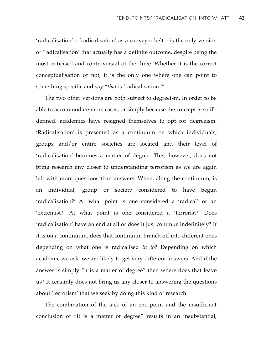'radicalisation' – 'radicalisation' as a conveyer belt – is the only version of 'radicalisation' that actually has a definite outcome, despite being the most criticised and controversial of the three. Whether it is the correct conceptualisation or not, it is the only one where one can point to something specific and say "*that* is 'radicalisation.'"

The two other versions are both subject to degreeism. In order to be able to accommodate more cases, or simply because the concept is so illdefined, academics have resigned themselves to opt for degreeism. 'Radicalisation' is presented as a continuum on which individuals, groups and/or entire societies are located and their level of 'radicalisation' becomes a matter of degree. This, however, does not bring research any closer to understanding terrorism as we are again left with more questions than answers. When, along the continuum, is an individual, group or society considered to have begun 'radicalisation?' At what point is one considered a 'radical' or an 'extremist?' At what point is one considered a 'terrorist?' Does 'radicalisation' have an end at all or does it just continue indefinitely? If it is on a continuum, does that continuum branch off into different ones depending on what one is radicalised *in to*? Depending on which academic we ask, we are likely to get very different answers. And if the answer is simply "it is a matter of degree" then where does that leave us? It certainly does not bring us any closer to answering the questions about 'terrorism' that we seek by doing this kind of research.

The combination of the lack of an end-point and the insufficient conclusion of "it is a matter of degree" results in an insubstantial,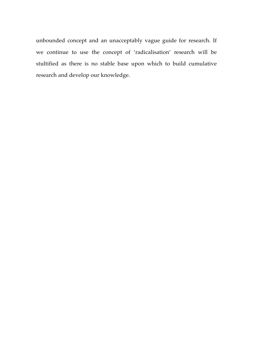unbounded concept and an unacceptably vague guide for research. If we continue to use the concept of 'radicalisation' research will be stultified as there is no stable base upon which to build cumulative research and develop our knowledge.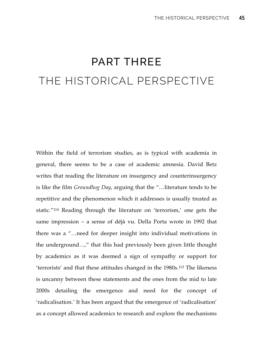# PART THREE THE HISTORICAL PERSPECTIVE

Within the field of terrorism studies, as is typical with academia in general, there seems to be a case of academic amnesia. David Betz writes that reading the literature on insurgency and counterinsurgency is like the film *Groundhog Day*, arguing that the "…literature tends to be repetitive and the phenomenon which it addresses is usually treated as static."114 Reading through the literature on 'terrorism,' one gets the same impression – a sense of déjà vu. Della Porta wrote in 1992 that there was a "…need for deeper insight into individual motivations in the underground…," that this had previously been given little thought by academics as it was deemed a sign of sympathy or support for 'terrorists' and that these attitudes changed in the 1980s.115 The likeness is uncanny between these statements and the ones from the mid to late 2000s detailing the emergence and need for the concept of 'radicalisation.' It has been argued that the emergence of 'radicalisation' as a concept allowed academics to research and explore the mechanisms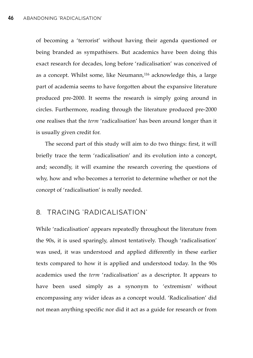of becoming a 'terrorist' without having their agenda questioned or being branded as sympathisers. But academics have been doing this exact research for decades, long before 'radicalisation' was conceived of as a concept. Whilst some, like Neumann,<sup>116</sup> acknowledge this, a large part of academia seems to have forgotten about the expansive literature produced pre-2000. It seems the research is simply going around in circles. Furthermore, reading through the literature produced pre-2000 one realises that the *term* 'radicalisation' has been around longer than it is usually given credit for.

The second part of this study will aim to do two things: first, it will briefly trace the term 'radicalisation' and its evolution into a concept, and; secondly, it will examine the research covering the questions of why, how and who becomes a terrorist to determine whether or not the concept of 'radicalisation' is really needed.

## 8. TRACING 'RADICALISATION'

While 'radicalisation' appears repeatedly throughout the literature from the 90s, it is used sparingly, almost tentatively. Though 'radicalisation' was used, it was understood and applied differently in these earlier texts compared to how it is applied and understood today. In the 90s academics used the *term* 'radicalisation' as a descriptor. It appears to have been used simply as a synonym to 'extremism' without encompassing any wider ideas as a concept would. 'Radicalisation' did not mean anything specific nor did it act as a guide for research or from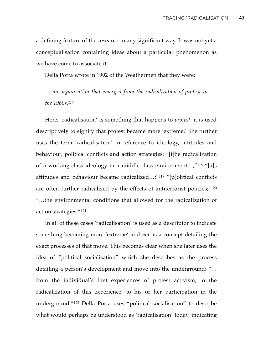a defining feature of the research in any significant way. It was not yet a conceptualisation containing ideas about a particular phenomenon as we have come to associate it.

Della Porta wrote in 1992 of the Weathermen that they were:

*… an organization that emerged from the radicalization of protest in the 1960s.117*

Here, 'radicalisation' is something that happens to *protest*: it is used descriptively to signify that protest became more 'extreme.' She further uses the term 'radicalisation' in reference to ideology, attitudes and behaviour, political conflicts and action strategies: "[t]he radicalization of a working-class ideology in a middle-class environment…;"118 "[a]s attitudes and behaviour became radicalized…;"119 "[p]olitical conflicts are often further radicalized by the effects of antiterrorist policies;"120 "…the environmental conditions that allowed for the radicalization of action strategies."121

In all of these cases 'radicalisation' is used as a descriptor to indicate something becoming more 'extreme' and *not* as a concept detailing the exact processes of that move. This becomes clear when she later uses the idea of "political socialisation" which she describes as the process detailing a person's development and move into the underground: "… from the individual's first experiences of protest activism, to the radicalization of this experience, to his or her participation in the underground."122 Della Porta uses "political socialisation" to describe what would perhaps be understood as 'radicalisation' today, indicating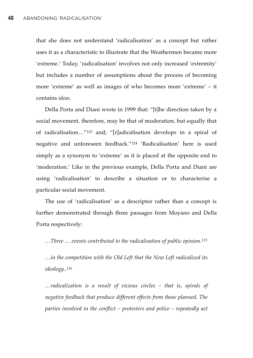that she does not understand 'radicalisation' as a concept but rather uses it as a characteristic to illustrate that the Weathermen became more 'extreme.' Today, 'radicalisation' involves not only increased 'extremity' but includes a number of assumptions about the process of becoming more 'extreme' as well as images of who becomes more 'extreme' – it contains *ideas*.

Della Porta and Diani wrote in 1999 that: "[t]he direction taken by a social movement, therefore, may be that of moderation, but equally that of radicalisation…"123 and; "[r]adicalisation develops in a spiral of negative and unforeseen feedback."124 'Radicalisation' here is used simply as a synonym to 'extreme' as it is placed at the opposite end to 'moderation.' Like in the previous example, Della Porta and Diani are using 'radicalisation' to describe a situation or to characterise a particular social movement.

The use of 'radicalisation' as a descriptor rather than a concept is further demonstrated through three passages from Moyano and Della Porta respectively:

*…Three … events contributed to the radicalisation of public opinion.125*

*…in the competition with the Old Left that the New Left radicalized its ideology..126*

*…radicalization is a result of vicious circles – that is, spirals of negative feedback that produce different effects from those planned. The parties involved in the conflict – protesters and police – repeatedly act*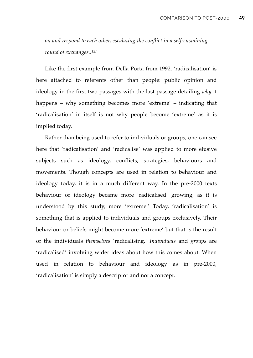*on and respond to each other, escalating the conflict in a self-sustaining round of exchanges..127*

Like the first example from Della Porta from 1992, 'radicalisation' is here attached to referents other than people: public opinion and ideology in the first two passages with the last passage detailing *why* it happens – why something becomes more 'extreme' – indicating that 'radicalisation' in itself is not why people become 'extreme' as it is implied today.

Rather than being used to refer to individuals or groups, one can see here that 'radicalisation' and 'radicalise' was applied to more elusive subjects such as ideology, conflicts, strategies, behaviours and movements. Though concepts are used in relation to behaviour and ideology today, it is in a much different way. In the pre-2000 texts behaviour or ideology became more 'radicalised' growing, as it is understood by this study, more 'extreme.' Today, 'radicalisation' is something that is applied to individuals and groups exclusively. Their behaviour or beliefs might become more 'extreme' but that is the result of the individuals *themselves* 'radicalising.' *Individuals* and *groups* are 'radicalised' involving wider ideas about how this comes about. When used in relation to behaviour and ideology as in pre-2000, 'radicalisation' is simply a descriptor and not a concept.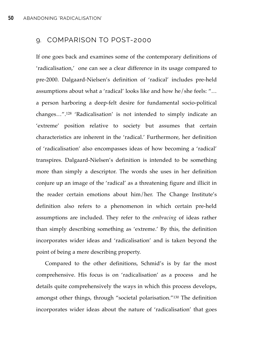# 9. COMPARISON TO POST-2000

If one goes back and examines some of the contemporary definitions of 'radicalisation,' one can see a clear difference in its usage compared to pre-2000. Dalgaard-Nielsen's definition of 'radical' includes pre-held assumptions about what a 'radical' looks like and how he/she feels: "… a person harboring a deep-felt desire for fundamental socio-political changes…".128 'Radicalisation' is not intended to simply indicate an 'extreme' position relative to society but assumes that certain characteristics are inherent in the 'radical.' Furthermore, her definition of 'radicalisation' also encompasses ideas of how becoming a 'radical' transpires. Dalgaard-Nielsen's definition is intended to be something more than simply a descriptor. The words she uses in her definition conjure up an image of the 'radical' as a threatening figure and illicit in the reader certain emotions about him/her. The Change Institute's definition also refers to a phenomenon in which certain pre-held assumptions are included. They refer to the *embracing* of ideas rather than simply describing something as 'extreme.' By this, the definition incorporates wider ideas and 'radicalisation' and is taken beyond the point of being a mere describing property.

Compared to the other definitions, Schmid's is by far the most comprehensive. His focus is on 'radicalisation' as a process and he details quite comprehensively the ways in which this process develops, amongst other things, through "societal polarisation."130 The definition incorporates wider ideas about the nature of 'radicalisation' that goes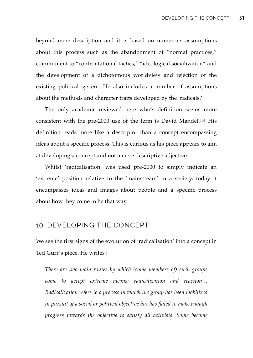beyond mere description and it is based on numerous assumptions about this process such as the abandonment of "normal practices," commitment to "confrontational tactics," "ideological socialization" and the development of a dichotomous worldview and rejection of the existing political system. He also includes a number of assumptions about the methods and character traits developed by the 'radicals.'

The only academic reviewed here who's definition seems more consistent with the pre-2000 use of the term is David Mandel.131 His definition reads more like a descriptor than a concept encompassing ideas about a specific process. This is curious as his piece appears to aim at developing a concept and not a mere descriptive adjective.

Whilst 'radicalisation' was used pre-2000 to simply indicate an 'extreme' position relative to the 'mainstream' in a society, today it encompasses ideas and images about people and a specific process about how they come to be that way.

#### 10. DEVELOPING THE CONCEPT

We see the first signs of the evolution of 'radicalisation' into a concept in Ted Gurr's piece. He writes :

*There are two main routes by which (some members of) such groups come to accept extreme means: radicalization and reaction… Radicalization refers to a process in which the group has been mobilized in pursuit of a social or political objective but has failed to make enough progress towards the objective to satisfy all activists. Some become*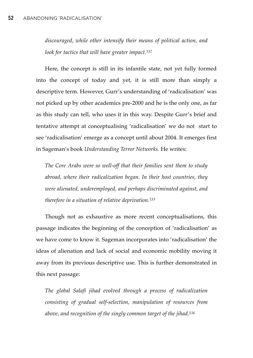*discouraged, while other intensify their means of political action, and look for tactics that will have greater impact.132*

Here, the concept is still in its infantile state, not yet fully formed into the concept of today and yet, it is still more than simply a descriptive term. However, Gurr's understanding of 'radicalisation' was not picked up by other academics pre-2000 and he is the only one, as far as this study can tell, who uses it in this way. Despite Gurr's brief and tentative attempt at conceptualising 'radicalisation' we do not start to see 'radicalisation' emerge as a concept until about 2004. It emerges first in Sageman's book *Understanding Terror Networks.* He writes:

*The Core Arabs were so well-off that their families sent them to study abroad, where their radicalization began. In their host countries, they were alienated, underemployed, and perhaps discriminated against, and therefore in a situation of relative deprivation.133*

Though not as exhaustive as more recent conceptualisations, this passage indicates the beginning of the conception of 'radicalisation' as we have come to know it. Sageman incorporates into 'radicalisation' the ideas of alienation and lack of social and economic mobility moving it away from its previous descriptive use. This is further demonstrated in this next passage:

*The global Salafi jihad evolved through a process of radicalization consisting of gradual self-selection, manipulation of resources from above, and recognition of the singly common target of the jihad.134*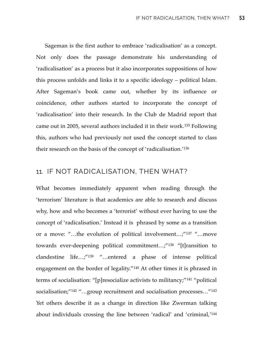Sageman is the first author to embrace 'radicalisation' as a concept. Not only does the passage demonstrate his understanding of 'radicalisation' as a process but it also incorporates suppositions of how this process unfolds and links it to a specific ideology – political Islam. After Sageman's book came out, whether by its influence or coincidence, other authors started to incorporate the concept of 'radicalisation' into their research. In the Club de Madrid report that came out in 2005, several authors included it in their work.135 Following this, authors who had previously not used the concept started to class their research on the basis of the concept of 'radicalisation.'136

## 11. IF NOT RADICALISATION, THEN WHAT?

What becomes immediately apparent when reading through the 'terrorism' literature is that academics are able to research and discuss why, how and who becomes a 'terrorist' without ever having to use the concept of 'radicalisation.' Instead it is phrased by some as a transition or a move: "…the evolution of political involvement…;"137 "…move towards ever-deepening political commitment…;"138 "[t]ransition to clandestine life…;"139 "…entered a phase of intense political engagement on the border of legality."140 At other times it is phrased in terms of socialisation: "[p]resocialize activists to militancy;"141 "political socialisation;"<sup>142</sup> "...group recruitment and socialisation processes..."<sup>143</sup> Yet others describe it as a change in direction like Zwerman talking about individuals crossing the line between 'radical' and 'criminal,'144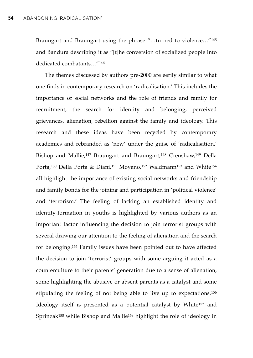Braungart and Braungart using the phrase "…turned to violence…"145 and Bandura describing it as "[t]he conversion of socialized people into dedicated combatants…"146

The themes discussed by authors pre-2000 are eerily similar to what one finds in contemporary research on 'radicalisation.' This includes the importance of social networks and the role of friends and family for recruitment, the search for identity and belonging, perceived grievances, alienation, rebellion against the family and ideology. This research and these ideas have been recycled by contemporary academics and rebranded as 'new' under the guise of 'radicalisation.' Bishop and Mallie,<sup>147</sup> Braungart and Braungart,<sup>148</sup> Crenshaw,<sup>149</sup> Della Porta,<sup>150</sup> Della Porta & Diani,<sup>151</sup> Moyano,<sup>152</sup> Waldmann<sup>153</sup> and White<sup>154</sup> all highlight the importance of existing social networks and friendship and family bonds for the joining and participation in 'political violence' and 'terrorism.' The feeling of lacking an established identity and identity-formation in youths is highlighted by various authors as an important factor influencing the decision to join terrorist groups with several drawing our attention to the feeling of alienation and the search for belonging.155 Family issues have been pointed out to have affected the decision to join 'terrorist' groups with some arguing it acted as a counterculture to their parents' generation due to a sense of alienation, some highlighting the abusive or absent parents as a catalyst and some stipulating the feeling of not being able to live up to expectations.156 Ideology itself is presented as a potential catalyst by White157 and Sprinzak158 while Bishop and Mallie159 highlight the role of ideology in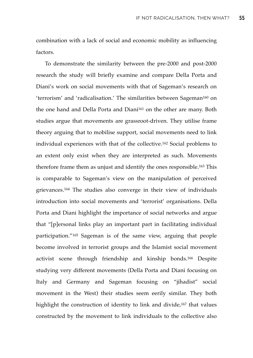combination with a lack of social and economic mobility as influencing factors.

To demonstrate the similarity between the pre-2000 and post-2000 research the study will briefly examine and compare Della Porta and Diani's work on social movements with that of Sageman's research on 'terrorism' and 'radicalisation.' The similarities between Sageman160 on the one hand and Della Porta and Diani<sup>161</sup> on the other are many. Both studies argue that movements are grassroot-driven. They utilise frame theory arguing that to mobilise support, social movements need to link individual experiences with that of the collective.162 Social problems to an extent only exist when they are interpreted as such. Movements therefore frame them as unjust and identify the ones responsible.163 This is comparable to Sageman's view on the manipulation of perceived grievances.164 The studies also converge in their view of individuals introduction into social movements and 'terrorist' organisations. Della Porta and Diani highlight the importance of social networks and argue that "[p]ersonal links play an important part in facilitating individual participation."165 Sageman is of the same view, arguing that people become involved in terrorist groups and the Islamist social movement activist scene through friendship and kinship bonds.166 Despite studying very different movements (Della Porta and Diani focusing on Italy and Germany and Sageman focusing on "jihadist" social movement in the West) their studies seem eerily similar. They both highlight the construction of identity to link and divide,<sup>167</sup> that values constructed by the movement to link individuals to the collective also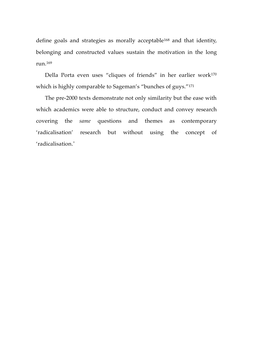define goals and strategies as morally acceptable<sup>168</sup> and that identity, belonging and constructed values sustain the motivation in the long run.169

Della Porta even uses "cliques of friends" in her earlier work170 which is highly comparable to Sageman's "bunches of guys."171

The pre-2000 texts demonstrate not only similarity but the ease with which academics were able to structure, conduct and convey research covering the *same* questions and themes as contemporary 'radicalisation' research but without using the concept of 'radicalisation.'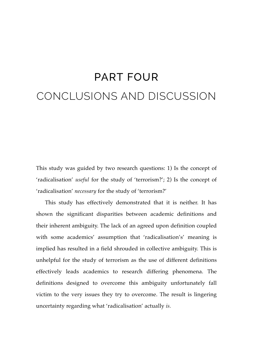# PART FOUR CONCLUSIONS AND DISCUSSION

This study was guided by two research questions: 1) Is the concept of 'radicalisation' *useful* for the study of 'terrorism?'; 2) Is the concept of 'radicalisation' *necessary* for the study of 'terrorism?'

This study has effectively demonstrated that it is neither. It has shown the significant disparities between academic definitions and their inherent ambiguity. The lack of an agreed upon definition coupled with some academics' assumption that 'radicalisation's' meaning is implied has resulted in a field shrouded in collective ambiguity. This is unhelpful for the study of terrorism as the use of different definitions effectively leads academics to research differing phenomena. The definitions designed to overcome this ambiguity unfortunately fall victim to the very issues they try to overcome. The result is lingering uncertainty regarding what 'radicalisation' actually *is.*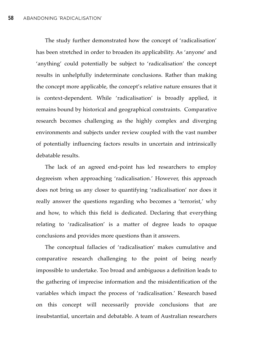The study further demonstrated how the concept of 'radicalisation' has been stretched in order to broaden its applicability. As 'anyone' and 'anything' could potentially be subject to 'radicalisation' the concept results in unhelpfully indeterminate conclusions. Rather than making the concept more applicable, the concept's relative nature ensures that it is context-dependent. While 'radicalisation' is broadly applied, it remains bound by historical and geographical constraints. Comparative research becomes challenging as the highly complex and diverging environments and subjects under review coupled with the vast number of potentially influencing factors results in uncertain and intrinsically debatable results.

The lack of an agreed end-point has led researchers to employ degreeism when approaching 'radicalisation.' However, this approach does not bring us any closer to quantifying 'radicalisation' nor does it really answer the questions regarding who becomes a 'terrorist,' why and how, to which this field is dedicated. Declaring that everything relating to 'radicalisation' is a matter of degree leads to opaque conclusions and provides more questions than it answers.

The conceptual fallacies of 'radicalisation' makes cumulative and comparative research challenging to the point of being nearly impossible to undertake. Too broad and ambiguous a definition leads to the gathering of imprecise information and the misidentification of the variables which impact the process of 'radicalisation.' Research based on this concept will necessarily provide conclusions that are insubstantial, uncertain and debatable. A team of Australian researchers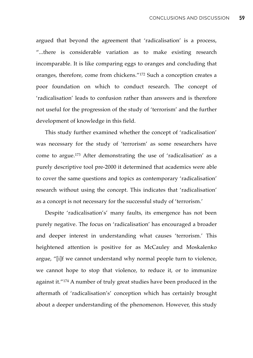argued that beyond the agreement that 'radicalisation' is a process, "...there is considerable variation as to make existing research incomparable. It is like comparing eggs to oranges and concluding that oranges, therefore, come from chickens."172 Such a conception creates a poor foundation on which to conduct research. The concept of 'radicalisation' leads to confusion rather than answers and is therefore not useful for the progression of the study of 'terrorism' and the further development of knowledge in this field.

This study further examined whether the concept of 'radicalisation' was necessary for the study of 'terrorism' as some researchers have come to argue.173 After demonstrating the use of 'radicalisation' as a purely descriptive tool pre-2000 it determined that academics were able to cover the same questions and topics as contemporary 'radicalisation' research without using the concept. This indicates that 'radicalisation' as a concept is not necessary for the successful study of 'terrorism.'

Despite 'radicalisation's' many faults, its emergence has not been purely negative. The focus on 'radicalisation' has encouraged a broader and deeper interest in understanding what causes 'terrorism.' This heightened attention is positive for as McCauley and Moskalenko argue, "[i]f we cannot understand why normal people turn to violence, we cannot hope to stop that violence, to reduce it, or to immunize against it."174 A number of truly great studies have been produced in the aftermath of 'radicalisation's' conception which has certainly brought about a deeper understanding of the phenomenon. However, this study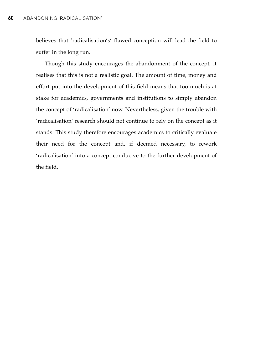believes that 'radicalisation's' flawed conception will lead the field to suffer in the long run.

Though this study encourages the abandonment of the concept, it realises that this is not a realistic goal. The amount of time, money and effort put into the development of this field means that too much is at stake for academics, governments and institutions to simply abandon the concept of 'radicalisation' now. Nevertheless, given the trouble with 'radicalisation' research should not continue to rely on the concept as it stands. This study therefore encourages academics to critically evaluate their need for the concept and, if deemed necessary, to rework 'radicalisation' into a concept conducive to the further development of the field.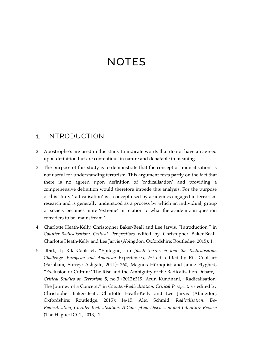# **NOTES**

#### 1. INTRODUCTION

- 2. Apostrophe's are used in this study to indicate words that do not have an agreed upon definition but are contentious in nature and debatable in meaning.
- 3. The purpose of this study is to demonstrate that the concept of 'radicalisation' is not useful for understanding terrorism. This argument rests partly on the fact that there is no agreed upon definition of 'radicalisation' and providing a comprehensive definition would therefore impede this analysis. For the purpose of this study 'radicalisation' is a concept used by academics engaged in terrorism research and is generally understood as a process by which an individual, group or society becomes more 'extreme' in relation to what the academic in question considers to be 'mainstream.'
- 4. Charlotte Heath-Kelly, Christopher Baker-Beall and Lee Jarvis, "Introduction," in *Counter-Radicalisation: Critical Perspectives* edited by Christopher Baker-Beall, Charlotte Heath-Kelly and Lee Jarvis (Abingdon, Oxfordshire: Routledge, 2015): 1.
- 5. Ibid., 1; Rik Coolsaet, "Epilogue," in *Jihadi Terrorism and the Radicalisation Challenge. European and American* Experiences, 2nd ed. edited by Rik Coolsaet (Farnham, Surrey: Ashgate, 2011): 260; Magnus Hörnquist and Janne Flyghed, "Exclusion or Culture? The Rise and the Ambiguity of the Radicalisation Debate," *Critical Studies on Terrorism* 5, no.3 (2012):319; Arun Kundnani, "Radicalisation: The Journey of a Concept," in *Counter-Radicalisation: Critical Perspectives* edited by Christopher Baker-Beall, Charlotte Heath-Kelly and Lee Jarvis (Abingdon, Oxfordshire: Routledge, 2015): 14-15; Alex Schmid, *Radicalisation, De-Radicalisation, Counter-Radicalisation: A Conceptual Discussion and Literature Review* (The Hague: ICCT, 2013): 1.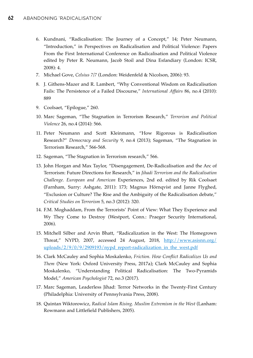- 6. Kundnani, "Radicalisation: The Journey of a Concept," 14; Peter Neumann, "Introduction," in Perspectives on Radicalisation and Political Violence: Papers From the First International Conference on Radicalisation and Political Violence edited by Peter R. Neumann, Jacob Stoil and Dina Esfandiary (London: ICSR, 2008): 4.
- 7. Michael Gove, *Celsius 7/7* (London: Weidenfeld & Nicolson, 2006): 93.
- 8. J. Githens-Mazer and R. Lambert, "Why Conventional Wisdom on Radicalisation Fails: The Persistence of a Failed Discourse," *International Affairs* 86, no.4 (2010): 889
- 9. Coolsaet, "Epilogue," 260.
- 10. Marc Sageman, "The Stagnation in Terrorism Research," *Terrorism and Political Violence* 26, no.4 (2014): 566.
- 11. Peter Neumann and Scott Kleinmann, "How Rigorous is Radicalisation Research?" *Democracy and Security* 9, no.4 (2013); Sageman, "The Stagnation in Terrorism Research," 566-568.
- 12. Sageman, "The Stagnation in Terrorism research," 566.
- 13. John Horgan and Max Taylor, "Disengagement, De-Radicalisation and the Arc of Terrorism: Future Directions for Research," in *Jihadi Terrorism and the Radicalisation Challenge. European and American* Experiences, 2nd ed. edited by Rik Coolsaet (Farnham, Surry: Ashgate, 2011): 173; Magnus Hörnqvist and Janne Flyghed, "Exclusion or Culture? The Rise and the Ambiguity of the Radicalisation debate," *Critical Studies on Terrorism* 5, no.3 (2012): 320.
- 14. F.M. Moghaddam, From the Terrorists' Point of View: What They Experience and Wy They Come to Destroy (Westport, Conn.: Praeger Security International, 2006).
- 15. Mitchell Silber and Arvin Bhatt, "Radicalization in the West: The Homegrown Threat," NYPD, 2007, accessed 24 August, 2018, [http://www.asisnn.org/](http://www.asisnn.org/uploads/2/9/0/9/2909193/nypd_report-radicalization_in_the_west.pdf) [uploads/2/9/0/9/2909193/nypd\\_report-radicalization\\_in\\_the\\_west.pdf](http://www.asisnn.org/uploads/2/9/0/9/2909193/nypd_report-radicalization_in_the_west.pdf)
- 16. Clark McCauley and Sophia Moskalenko, *Friction. How Conflict Radicalizes Us and Them* (New York: Oxford University Press, 2017a); Clark McCauley and Sophia Moskalenko, "Understanding Political Radicalisation: The Two-Pyramids Model," *American Psychologist* 72, no.3 (2017).
- 17. Marc Sageman, Leaderless Jihad: Terror Networks in the Twenty-First Century (Philadelphia: University of Pennsylvania Press, 2008).
- 18. Quintan Wiktorowicz, *Radical Islam Rising. Muslim Extremism in the West* (Lanham: Rowmann and Littlefield Publishers, 2005).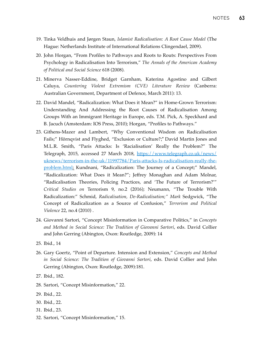- 19. Tinka Veldhuis and Jørgen Staun, *Islamist Radicalisation: A Root Cause Model* (The Hague: Netherlands Institute of International Relations Clingendael, 2009).
- 20. John Horgan, "From Profiles to Pathways and Roots to Routs: Perspectives From Psychology in Radicalisation Into Terrorism," *The Annals of the American Academy of Political and Social Science* 618 (2008).
- 21. Minerva Nasser-Eddine, Bridget Garnham, Katerina Agostino and Gilbert Caluya, *Countering Violent Extremism (CVE) Literature Review* (Canberra: Australian Government, Department of Defence, March 2011): 13.
- 22. David Mandel, "Radicalization: What Does it Mean?" in Home-Grown Terrorism: Understanding And Addressing the Root Causes of Radicalisation Among Groups With an Immigrant Heritage in Europe, eds. T.M. Pick, A. Speckhard and B. Jacuch (Amsterdam: IOS Press, 2010); Horgan, "Profiles to Pathways."
- 23. Githens-Mazer and Lambert, "Why Conventional Wisdom on Radicalisation Fails;" Hörnqvist and Flyghed, "Exclusion or Culture?;" David Martin Jones and M.L.R. Smith, "Paris Attacks: Is 'Racialisation' Really the Problem?" The Telegraph, 2015, accessed 27 March 2018, [https://www.telegraph.co.uk/news/](https://www.telegraph.co.uk/news/uknews/terrorism-in-the-uk/11997784/Paris-attacks-Is-radicalisation-really-the-problem.html) [uknews/terrorism-in-the-uk/11997784/Paris-attacks-Is-radicalisation-really-the](https://www.telegraph.co.uk/news/uknews/terrorism-in-the-uk/11997784/Paris-attacks-Is-radicalisation-really-the-problem.html)[problem.html](https://www.telegraph.co.uk/news/uknews/terrorism-in-the-uk/11997784/Paris-attacks-Is-radicalisation-really-the-problem.html); Kundnani, "Radicalization: The Journey of a Concept;" Mandel, "Radicalization: What Does it Mean?"; Jeffrey Monaghan and Adam Molnar, "Radicalisation Theories, Policing Practices, and 'The Future of Terrorism?'" *Critical Studies on* Terrorism 9, no.2 (2016); Neumann, "The Trouble With Radicalization:" Schmid, *Radicalisation, De-Radicalisation;" Mark* Sedgwick, "The Concept of Radicalization as a Source of Confusion," *Terrorism and Political Violence* 22, no.4 (2010) .
- 24. Giovanni Sartori, "Concept Misinformation in Comparative Politics," in *Concepts and Method in Social Science: The Tradition of Giovanni Sartori*, eds. David Collier and John Gerring (Abington, Oxon: Routledge, 2009): 14
- 25. Ibid., 14
- 26. Gary Goertz, "Point of Departure. Intension and Extension," *Concepts and Method in Social Science: The Tradition of Giovanni Sartori*, eds. David Collier and John Gerring (Abington, Oxon: Routledge, 2009):181.
- 27. Ibid., 182.
- 28. Sartori, "Concept Misinformation," 22.
- 29. Ibid., 22.
- 30. Ibid., 22.
- 31. Ibid., 23.
- 32. Sartori, "Concept Misinformation," 15.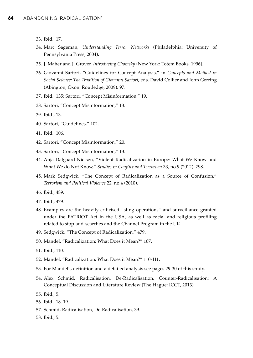- 33. Ibid., 17.
- 34. Marc Sageman, *Understanding Terror Networks* (Philadelphia: University of Pennsylvania Press, 2004).
- 35. J. Maher and J. Grover, *Introducing Chomsky* (New York: Totem Books, 1996).
- 36. Giovanni Sartori, "Guidelines for Concept Analysis," in *Concepts and Method in Social Science: The Tradition of Giovanni Sartori*, eds. David Collier and John Gerring (Abington, Oxon: Routledge, 2009): 97.
- 37. Ibid., 135; Sartori, "Concept Misinformation," 19.
- 38. Sartori, "Concept Misinformation," 13.
- 39. Ibid., 13.
- 40. Sartori, "Guidelines," 102.
- 41. Ibid., 106.
- 42. Sartori, "Concept Misinformation," 20.
- 43. Sartori, "Concept Misinformation," 13.
- 44. Anja Dalgaard-Nielsen, "Violent Radicalization in Europe: What We Know and What We do Not Know," *Studies in Conflict and Terrorism* 33, no.9 (2012): 798.
- 45. Mark Sedgwick, "The Concept of Radicalization as a Source of Confusion," *Terrorism and Political Violence* 22, no.4 (2010).
- 46. Ibid., 489.
- 47. Ibid., 479.
- 48. Examples are the heavily-criticised "sting operations" and surveillance granted under the PATRIOT Act in the USA, as well as racial and religious profiling related to stop-and-searches and the Channel Program in the UK.
- 49. Sedgwick, "The Concept of Radicalization," 479.
- 50. Mandel, "Radicalization: What Does it Mean?" 107.
- 51. Ibid., 110.
- 52. Mandel, "Radicalization: What Does it Mean?" 110-111.
- 53. For Mandel's definition and a detailed analysis see pages 29-30 of this study.
- 54. Alex Schmid, Radicalisation, De-Radicalisation, Counter-Radicalisation: A Conceptual Discussion and Literature Review (The Hague: ICCT, 2013).
- 55. Ibid., 5.
- 56. Ibid., 18, 19.
- 57. Schmid, Radicalisation, De-Radicalisation, 39.
- 58. Ibid., 5.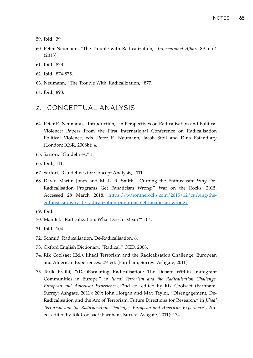- 59. Ibid., 39
- 60. Peter Neumann, "The Trouble with Radicalization," *International Affairs* 89, no.4 (2013).
- 61. Ibid., 873.
- 62. Ibid., 874-875.
- 63. Neumann, "The Trouble With Radicalization," 877.
- 64. Ibid., 893.

### 2. CONCEPTUAL ANALYSIS

- 64. Peter R. Neumann, "Introduction," in Perspectives on Radicalisation and Political Violence: Papers From the First International Conference on Radicalisation Political Violence, eds. Peter R. Neumann, Jacob Stoil and Dina Esfandiary (London: ICSR, 2008b): 4.
- 65. Sartori, "Guidelines," 111
- 66. Ibid., 111.
- 67. Sartori, "Guidelines for Concept Analysis," 111.
- 68. David Martin Jones and M. L. R. Smith, "Curbing the Enthusiasm: Why De-Radicalisation Programs Get Fanaticism Wrong," War on the Rocks, 2015. Accessed 28 March 2018, [https://warontherocks.com/2015/12/curbing-the](https://warontherocks.com/2015/12/curbing-the-enthusiasm-why-de-radicalization-programs-get-fanaticism-wrong/)[enthusiasm-why-de-radicalization-programs-get-fanaticism-wrong/](https://warontherocks.com/2015/12/curbing-the-enthusiasm-why-de-radicalization-programs-get-fanaticism-wrong/)
- 69. Ibid.
- 70. Mandel, "Radicalization: What Does it Mean?" 104.
- 71. Ibid., 104.
- 72. Schmid, Radicalisation, De-Radicalisation, 6.
- 73. Oxford English Dictionary, "Radical," OED, 2008.
- 74. Rik Coolsaet (Ed.), Jihadi Terrorism and the Radicalisation Challenge. European and American Experiences, 2nd ed. (Farnham, Surrey: Ashgate, 2011).
- 75. Tarik Fraihi, "(De-)Escalating Radicalisation: The Debate Within Immigrant Communities in Europe," in *Jihadi Terrorism and the Radicalisation Challenge. European and American Experiences*, 2nd ed. edited by Rik Coolsaet (Farnham, Surrey: Ashgate, 2011): 209; John Horgan and Max Taylor, "Disengagement, De-Radicalisation and the Arc of Terrorism: Future Directions for Research," in *Jihadi Terrorism and the Radicalisation Challenge. European and American Experiences*, 2nd ed. edited by Rik Coolsaet (Farnham, Surrey: Ashgate, 2011): 174.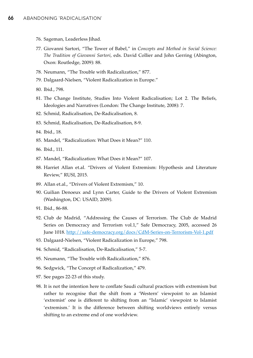- 76. Sageman, Leaderless Jihad.
- 77. Giovanni Sartori, "The Tower of Babel," in *Concepts and Method in Social Science: The Tradition of Giovanni Sartori*, eds. David Collier and John Gerring (Abington, Oxon: Routledge, 2009): 88.
- 78. Neumann, "The Trouble with Radicalization," 877.
- 79. Dalgaard-Nielsen, "Violent Radicalization in Europe."
- 80. Ibid., 798.
- 81. The Change Institute, Studies Into Violent Radicalisation; Lot 2. The Beliefs, Ideologies and Narratives (London: The Change Institute, 2008): 7.
- 82. Schmid, Radicalisation, De-Radicalisation, 8.
- 83. Schmid, Radicalisation, De-Radicalisation, 8-9.
- 84. Ibid., 18.
- 85. Mandel, "Radicalization: What Does it Mean?" 110.
- 86. Ibid., 111.
- 87. Mandel, "Radicalization: What Does it Mean?" 107.
- 88. Harriet Allan et.al. "Drivers of Violent Extremism: Hypothesis and Literature Review," RUSI, 2015.
- 89. Allan et.al., "Drivers of Violent Extremism," 10.
- 90. Guilian Denoeux and Lynn Carter, Guide to the Drivers of Violent Extremism (Washington, DC: USAID, 2009).
- 91. Ibid., 86-88.
- 92. Club de Madrid, "Addressing the Causes of Terrorism. The Club de Madrid Series on Democracy and Terrorism vol.1," Safe Democracy, 2005, accessed 26 June 1018.<http://safe-democracy.org/docs/CdM-Series-on-Terrorism-Vol-1.pdf>
- 93. Dalgaard-Nielsen, "Violent Radicalization in Europe," 798.
- 94. Schmid, "Radicalisation, De-Radicalisation," 5-7.
- 95. Neumann, "The Trouble with Radicalization," 876.
- 96. Sedgwick, "The Concept of Radicalization," 479.
- 97. See pages 22-23 of this study.
- 98. It is not the intention here to conflate Saudi cultural practices with extremism but rather to recognise that the shift from a 'Western' viewpoint to an Islamist 'extremist' one is different to shifting from an "Islamic' viewpoint to Islamist 'extremism.' It is the difference between shifting worldviews entirely versus shifting to an extreme end of one worldview.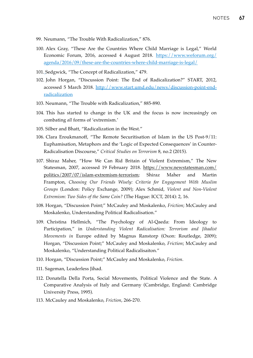- 99. Neumann, "The Trouble With Radicalization," 876.
- 100. Alex Gray, "These Are the Countries Where Child Marriage is Legal," World Economic Forum, 2016, accessed 4 August 2018. [https://www.weforum.org/](https://www.weforum.org/agenda/2016/09/these-are-the-countries-where-child-marriage-is-legal/) [agenda/2016/09/these-are-the-countries-where-child-marriage-is-legal/](https://www.weforum.org/agenda/2016/09/these-are-the-countries-where-child-marriage-is-legal/)
- 101. Sedgwick, "The Concept of Radicalization," 479.
- 102. John Horgan, "Discussion Point: The End of Radicalization?" START, 2012, accessed 5 March 2018. [http://www.start.umd.edu/news/discussion-point-end](http://www.start.umd.edu/news/discussion-point-end-radicalization)[radicalization](http://www.start.umd.edu/news/discussion-point-end-radicalization)
- 103. Neumann, "The Trouble with Radicalization," 885-890.
- 104. This has started to change in the UK and the focus is now increasingly on combating *all* forms of 'extremism.'
- 105. Silber and Bhatt, "Radicalization in the West."
- 106. Clara Eroukmanoff, "The Remote Securitisation of Islam in the US Post-9/11: Euphamisation, Metaphors and the 'Logic of Expected Consequences' in Counter-Radicalisation Discourse," *Critical Studies on Terrorism* 8, no.2 (2015).
- 107. Shiraz Maher, "How We Can Rid Britain of Violent Extremism," The New Statesman, 2007, accessed 19 February 2018. [https://www.newstatesman.com/](https://www.newstatesman.com/politics/2007/07/islam-extremism-terrorism) [politics/2007/07/islam-extremism-terrorism](https://www.newstatesman.com/politics/2007/07/islam-extremism-terrorism); Shiraz Maher and Martin Frampton, *Choosing Our Friends Wisely: Criteria for Engagement With Muslim Groups* (London: Policy Exchange, 2009); Alex Schmid, *Violent and Non-Violent Extremism: Two Sides of the Same Coin?* (The Hague: ICCT, 2014): 2, 16.
- 108. Horgan, "Discussion Point;" McCauley and Moskalenko, *Friction*; McCauley and Moskalenko, Understanding Political Radicalisation."
- 109. Christina Hellmich, "The Psychology of Al-Qaeda: From Ideology to Participation," in *Understanding Violent Radicalisation: Terrorism and Jihadist Movements in* Europe edited by Magnus Ranstorp (Oxon: Routledge, 2009); Horgan, "Discussion Point;" McCauley and Moskalenko, *Friction*; McCauley and Moskalenko, "Understanding Political Radicalisaiton."
- 110. Horgan, "Discussion Point;" McCauley and Moskalenko, *Friction*.
- 111. Sageman, Leaderless Jihad.
- 112. Donatella Della Porta, Social Movements, Political Violence and the State. A Comparative Analysis of Italy and Germany (Cambridge, England: Cambridge University Press, 1995).
- 113. McCauley and Moskalenko, *Friction*, 266-270.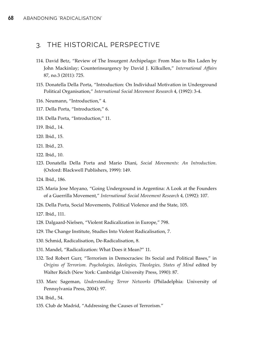### 3. THE HISTORICAL PERSPECTIVE

- 114. David Betz, "Review of The Insurgent Archipelago: From Mao to Bin Laden by John Mackinlay; Counterinsurgency by David J. Kilkullen," *International Affairs* 87, no.3 (2011): 725.
- 115. Donatella Della Porta, "Introduction: On Individual Motivation in Underground Political Organisation," *International Social Movement Research* 4, (1992): 3-4.
- 116. Neumann, "Introduction," 4.
- 117. Della Porta, "Introduction," 6.
- 118. Della Porta, "Introduction," 11.
- 119. Ibid., 14.
- 120. Ibid., 15.
- 121. Ibid., 23.
- 122. Ibid., 10.
- 123. Donatella Della Porta and Mario Diani, *Social Movements: An Introduction*. (Oxford: Blackwell Publishers, 1999): 149.
- 124. Ibid., 186.
- 125. Maria Jose Moyano, "Going Underground in Argentina: A Look at the Founders of a Guerrilla Movement," *International Social Movement Research* 4, (1992): 107.
- 126. Della Porta, Social Movements, Political Violence and the State, 105.

127. Ibid., 111.

- 128. Dalgaard-Nielsen, "Violent Radicalization in Europe," 798.
- 129. The Change Institute, Studies Into Violent Radicalisation, 7.
- 130. Schmid, Radicalisation, De-Radicalisation, 8.
- 131. Mandel, "Radicalization: What Does it Mean?" 11.
- 132. Ted Robert Gurr, "Terrorism in Democracies: Its Social and Political Bases," in *Origins of Terrorism. Psychologies, Ideologies, Theologies, States of Mind* edited by Walter Reich (New York: Cambridge University Press, 1990): 87.
- 133. Marc Sageman, *Understanding Terror Networks* (Philadelphia: University of Pennsylvania Press, 2004): 97.
- 134. Ibid., 54.
- 135. Club de Madrid, "Addressing the Causes of Terrorism."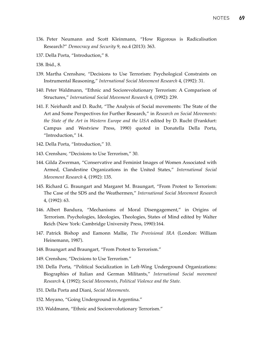- 136. Peter Neumann and Scott Kleinmann, "How Rigorous is Radicalisation Research?" *Democracy and Security* 9, no.4 (2013): 363.
- 137. Della Porta, "Introduction," 8.
- 138. Ibid., 8.
- 139. Martha Crenshaw, "Decisions to Use Terrorism: Psychological Constraints on Instrumental Reasoning," *International Social Movement Research* 4, (1992): 31.
- 140. Peter Waldmann, "Ethnic and Sociorevolutionary Terrorism: A Comparison of Structures," *International Social Movement Research* 4, (1992): 239.
- 141. F. Neirhardt and D. Rucht, "The Analysis of Social movements: The State of the Art and Some Perspectives for Further Research," in *Research on Social Movements: the State of the Art in Western Europe and the USA* edited by D. Rucht (Frankfurt: Campus and Westview Press, 1990) quoted in Donatella Della Porta, "Introduction," 14.
- 142. Della Porta, "Introduction," 10.
- 143. Crenshaw, "Decisions to Use Terrorism," 30.
- 144. Gilda Zwerman, "Conservative and Feminist Images of Women Associated with Armed, Clandestine Organizations in the United States," *International Social Movement Research* 4, (1992): 135.
- 145. Richard G. Braungart and Margaret M. Braungart, "From Protest to Terrorism: The Case of the SDS and the Weathermen," *International Social Movement Research* 4, (1992): 63.
- 146. Albert Bandura, "Mechanisms of Moral Disengagement," in Origins of Terrorism. Psychologies, Ideologies, Theologies, States of Mind edited by Walter Reich (New York: Cambridge University Press, 1990):164.
- 147. Patrick Bishop and Eamonn Mallie, *The Provisional IRA* (London: William Heinemann, 1987).
- 148. Braungart and Braungart, "From Protest to Terrorism."
- 149. Crenshaw, "Decisions to Use Terrorism."
- 150. Della Porta, "Political Socialization in Left-Wing Underground Organizations: Biographies of Italian and German Militants," *International Social movement Research* 4, (1992); *Social Movements, Political Violence and the State.*
- 151. Della Porta and Diani, *Social Movements.*
- 152. Moyano, "Going Underground in Argentina."
- 153. Waldmann, "Ethnic and Sociorevolutionary Terrorism."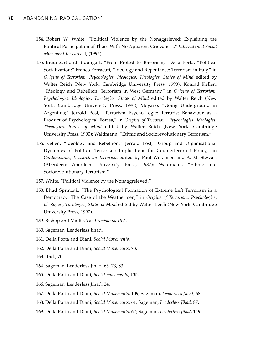- 154. Robert W. White, "Political Violence by the Nonaggrieved: Explaining the Political Participation of Those With No Apparent Grievances," *International Social Movement Research* 4, (1992).
- 155. Braungart and Braungart, "From Protest to Terrorism;" Della Porta, "Political Socialization;" Franco Ferracuti, "Ideology and Repentance: Terrorism in Italy," in *Origins of Terrorism. Psychologies, Ideologies, Theologies, States of Mind* edited by Walter Reich (New York: Cambridge University Press, 1990); Konrad Kellen, "Ideology and Rebellion: Terrorism in West Germany," in *Origins of Terrorism. Psychologies, Ideologies, Theologies, States of Mind* edited by Walter Reich (New York: Cambridge University Press, 1990); Moyano, "Going Underground in Argentina;" Jerrold Post, "Terrorism Psycho-Logic: Terrorist Behaviour as a Product of Psychological Forces," in *Origins of Terrorism. Psychologies, Ideologies, Theologies, States of Mind* edited by Walter Reich (New York: Cambridge University Press, 1990); Waldmann, "Ethnic and Sociorevolutionary Terrorism."
- 156. Kellen, "Ideology and Rebellion;" Jerrold Post, "Group and Organisational Dynamics of Political Terrorism: Implications for Counterterrorist Policy," in *Contemporary Research on Terrorism* edited by Paul Wilkinson and A. M. Stewart (Aberdeen: Aberdeen University Press, 1987); Waldmann, "Ethnic and Sociorevolutionary Terrorism."
- 157. White, "Political Violence by the Nonaggreieved."
- 158. Ehud Sprinzak, "The Psychological Formation of Extreme Left Terrorism in a Democracy: The Case of the Weathermen," in *Origins of Terrorism. Psychologies, Ideologies, Theologies, States of Mind* edited by Walter Reich (New York: Cambridge University Press, 1990).
- 159. Bishop and Mallie, *The Provisional IRA.*
- 160. Sageman, Leaderless Jihad.
- 161. Della Porta and Diani, *Social Movements.*
- 162. Della Porta and Diani, *Social Movements*, 73.
- 163. Ibid., 70.
- 164. Sageman, Leaderless Jihad, 65, 73, 83.
- 165. Della Porta and Diani, *Social movements*, 135.
- 166. Sageman, Leaderless Jihad, 24.
- 167. Della Porta and Diani, *Social Movements*, 109; Sageman, *Leaderless Jihad*, 68.
- 168. Della Porta and Diani, *Social Movements*, 61; Sageman, *Leaderless Jihad*, 87.
- 169. Della Porta and Diani, *Social Movements*, 62; Sageman, *Leaderless Jihad*, 149.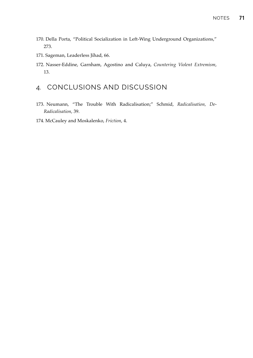- 170. Della Porta, "Political Socialization in Left-Wing Underground Organizations," 273.
- 171. Sageman, Leaderless Jihad, 66.
- 172. Nasser-Eddine, Garnham, Agostino and Caluya, *Countering Violent Extremism*, 13.

## 4. CONCLUSIONS AND DISCUSSION

- 173. Neumann, "The Trouble With Radicalisation;" Schmid, *Radicalisation, De-Radicalisation*, 39.
- 174. McCauley and Moskalenko, *Friction*, 4.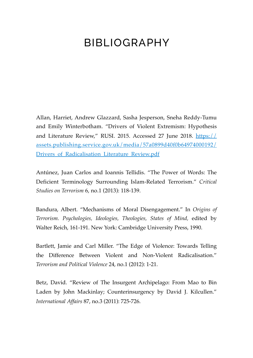## BIBLIOGRAPHY

Allan, Harriet, Andrew Glazzard, Sasha Jesperson, Sneha Reddy-Tumu and Emily Winterbotham. "Drivers of Violent Extremism: Hypothesis and Literature Review," RUSI. 2015. Accessed 27 June 2018. [https://](https://assets.publishing.service.gov.uk/media/57a0899d40f0b64974000192/Drivers_of_Radicalisation_Literature_Review.pdf) [assets.publishing.service.gov.uk/media/57a0899d40f0b64974000192/](https://assets.publishing.service.gov.uk/media/57a0899d40f0b64974000192/Drivers_of_Radicalisation_Literature_Review.pdf) Drivers of Radicalisation Literature Review.pdf

Antúnez, Juan Carlos and Ioannis Tellidis. "The Power of Words: The Deficient Terminology Surrounding Islam-Related Terrorism." *Critical Studies on Terrorism* 6, no.1 (2013): 118-139.

Bandura, Albert. "Mechanisms of Moral Disengagement." In *Origins of Terrorism. Psychologies, Ideologies, Theologies, States of Mind,* edited by Walter Reich, 161-191. New York: Cambridge University Press, 1990.

Bartlett, Jamie and Carl Miller. "The Edge of Violence: Towards Telling the Difference Between Violent and Non-Violent Radicalisation." *Terrorism and Political Violence* 24, no.1 (2012): 1-21.

Betz, David. "Review of The Insurgent Archipelago: From Mao to Bin Laden by John Mackinlay; Counterinsurgency by David J. Kilcullen." *International Affairs* 87, no.3 (2011): 725-726.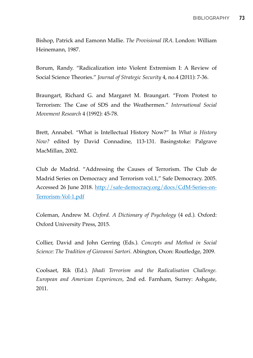Bishop, Patrick and Eamonn Mallie. *The Provisional IRA*. London: William Heinemann, 1987.

Borum, Randy. "Radicalization into Violent Extremism I: A Review of Social Science Theories." *Journal of Strategic Security* 4, no.4 (2011): 7-36.

Braungart, Richard G. and Margaret M. Braungart. "From Protest to Terrorism: The Case of SDS and the Weathermen." *International Social Movement Research* 4 (1992): 45-78.

Brett, Annabel. "What is Intellectual History Now?" In *What is History Now?* edited by David Connadine, 113-131. Basingstoke: Palgrave MacMillan, 2002.

Club de Madrid. "Addressing the Causes of Terrorism. The Club de Madrid Series on Democracy and Terrorism vol.1," Safe Democracy. 2005. Accessed 26 June 2018. [http://safe-democracy.org/docs/CdM-Series-on-](http://safe-democracy.org/docs/CdM-Series-on-Terrorism-Vol-1.pdf)[Terrorism-Vol-1.pdf](http://safe-democracy.org/docs/CdM-Series-on-Terrorism-Vol-1.pdf)

Coleman, Andrew M. *Oxford. A Dictionary of Psychology* (4 ed.)*.* Oxford: Oxford University Press, 2015.

Collier, David and John Gerring (Eds.). *Concepts and Method in Social Science: The Tradition of Giovanni Sartori*. Abington, Oxon: Routledge, 2009.

Coolsaet, Rik (Ed.). *Jihadi Terrorism and the Radicalisation Challenge. European and American Experiences*, 2nd ed. Farnham, Surrey: Ashgate, 2011.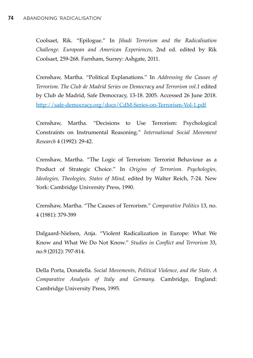Coolsaet, Rik. "Epilogue." In *Jihadi Terrorism and the Radicalisation Challenge. European and American Experiences*, 2nd ed. edited by Rik Coolsaet, 259-268. Farnham, Surrey: Ashgate, 2011.

Crenshaw, Martha. "Political Explanations." In *Addressing the Causes of Terrorism. The Club de Madrid Series on Democracy and Terrorism vol.1* edited by Club de Madrid, Safe Democracy, 13-18. 2005. Accessed 26 June 2018. <http://safe-democracy.org/docs/CdM-Series-on-Terrorism-Vol-1.pdf>

Crenshaw, Martha. "Decisions to Use Terrorism: Psychological Constraints on Instrumental Reasoning." *International Social Movement Research* 4 (1992): 29-42.

Crenshaw, Martha. "The Logic of Terrorism: Terrorist Behaviour as a Product of Strategic Choice." In *Origins of Terrorism. Psychologies, Ideologies, Theologies, States of Mind,* edited by Walter Reich, 7-24. New York: Cambridge University Press, 1990.

Crenshaw, Martha. "The Causes of Terrorism." *Comparative Politics* 13, no. 4 (1981): 379-399

Dalgaard-Nielsen, Anja. "Violent Radicalization in Europe: What We Know and What We Do Not Know." *Studies in Conflict and Terrorism* 33, no.9 (2012): 797-814.

Della Porta, Donatella. *Social Movements, Political Violence, and the State. A Comparative Analysis of Italy and Germany.* Cambridge, England: Cambridge University Press, 1995.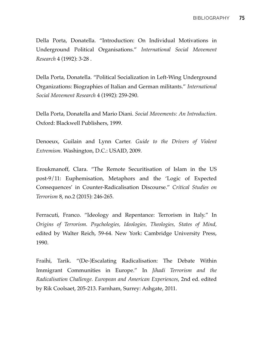Della Porta, Donatella. "Introduction: On Individual Motivations in Underground Political Organisations." *International Social Movement Research* 4 (1992): 3-28 .

Della Porta, Donatella. "Political Socialization in Left-Wing Underground Organizations: Biographies of Italian and German militants." *International Social Movement Research* 4 (1992): 259-290.

Della Porta, Donatella and Mario Diani. *Social Movements: An Introduction*. Oxford: Blackwell Publishers, 1999.

Denoeux, Guilain and Lynn Carter. *Guide to the Drivers of Violent Extremism.* Washington, D.C.: USAID, 2009.

Eroukmanoff, Clara. "The Remote Securitisation of Islam in the US post-9/11: Euphemisation, Metaphors and the 'Logic of Expected Consequences' in Counter-Radicalisation Discourse." *Critical Studies on Terrorism* 8, no.2 (2015): 246-265.

Ferracuti, Franco. "Ideology and Repentance: Terrorism in Italy." In *Origins of Terrorism. Psychologies, Ideologies, Theologies, States of Mind,*  edited by Walter Reich, 59-64. New York: Cambridge University Press, 1990.

Fraihi, Tarik. "(De-)Escalating Radicalisation: The Debate Within Immigrant Communities in Europe." In *Jihadi Terrorism and the Radicalisation Challenge. European and American Experiences*, 2nd ed. edited by Rik Coolsaet, 205-213. Farnham, Surrey: Ashgate, 2011.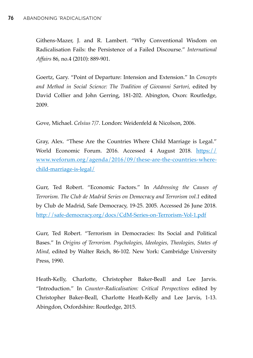Githens-Mazer, J. and R. Lambert. "Why Conventional Wisdom on Radicalisation Fails: the Persistence of a Failed Discourse." *International Affairs* 86, no.4 (2010): 889-901.

Goertz, Gary. "Point of Departure: Intension and Extension." In *Concepts and Method in Social Science: The Tradition of Giovanni Sartori,* edited by David Collier and John Gerring, 181-202. Abington, Oxon: Routledge, 2009.

Gove, Michael. *Celsius 7/7.* London: Weidenfeld & Nicolson, 2006.

Gray, Alex. "These Are the Countries Where Child Marriage is Legal." World Economic Forum. 2016. Accessed 4 August 2018. [https://](https://www.weforum.org/agenda/2016/09/these-are-the-countries-where-child-marriage-is-legal/) [www.weforum.org/agenda/2016/09/these-are-the-countries-where](https://www.weforum.org/agenda/2016/09/these-are-the-countries-where-child-marriage-is-legal/)[child-marriage-is-legal/](https://www.weforum.org/agenda/2016/09/these-are-the-countries-where-child-marriage-is-legal/)

Gurr, Ted Robert. "Economic Factors." In *Addressing the Causes of Terrorism. The Club de Madrid Series on Democracy and Terrorism vol.1* edited by Club de Madrid, Safe Democracy, 19-25. 2005. Accessed 26 June 2018. <http://safe-democracy.org/docs/CdM-Series-on-Terrorism-Vol-1.pdf>

Gurr, Ted Robert. "Terrorism in Democracies: Its Social and Political Bases." In *Origins of Terrorism. Psychologies, Ideologies, Theologies, States of Mind,* edited by Walter Reich, 86-102. New York: Cambridge University Press, 1990.

Heath-Kelly, Charlotte, Christopher Baker-Beall and Lee Jarvis. "Introduction." In *Counter-Radicalisation: Critical Perspectives* edited by Christopher Baker-Beall, Charlotte Heath-Kelly and Lee Jarvis, 1-13. Abingdon, Oxfordshire: Routledge, 2015.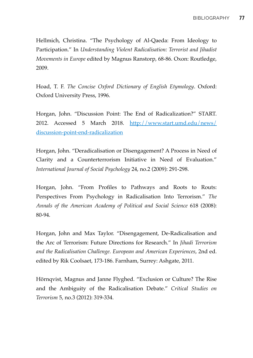Hellmich, Christina. "The Psychology of Al-Qaeda: From Ideology to Participation." In *Understanding Violent Radicalisation: Terrorist and Jihadist Movements in Europe* edited by Magnus Ranstorp, 68-86. Oxon: Routledge, 2009.

Hoad, T. F. *The Concise Oxford Dictionary of English Etymology*. Oxford: Oxford University Press, 1996.

Horgan, John. "Discussion Point: The End of Radicalization?" START. 2012. Accessed 5 March 2018. [http://www.start.umd.edu/news/](http://www.start.umd.edu/news/discussion-point-end-radicalization) [discussion-point-end-radicalization](http://www.start.umd.edu/news/discussion-point-end-radicalization)

Horgan, John. "Deradicalisation or Disengagement? A Process in Need of Clarity and a Counterterrorism Initiative in Need of Evaluation." *International Journal of Social Psychology* 24, no.2 (2009): 291-298.

Horgan, John. "From Profiles to Pathways and Roots to Routs: Perspectives From Psychology in Radicalisation Into Terrorism." *The Annals of the American Academy of Political and Social Science* 618 (2008): 80-94.

Horgan, John and Max Taylor. "Disengagement, De-Radicalisation and the Arc of Terrorism: Future Directions for Research." In *Jihadi Terrorism and the Radicalisation Challenge. European and American Experiences*, 2nd ed. edited by Rik Coolsaet, 173-186. Farnham, Surrey: Ashgate, 2011.

Hörnqvist, Magnus and Janne Flyghed. "Exclusion or Culture? The Rise and the Ambiguity of the Radicalisation Debate." *Critical Studies on Terrorism* 5, no.3 (2012): 319-334.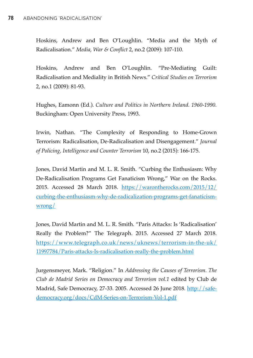Hoskins, Andrew and Ben O'Loughlin. "Media and the Myth of Radicalisation." *Media, War & Conflict* 2, no.2 (2009): 107-110.

Hoskins, Andrew and Ben O'Loughlin. "Pre-Mediating Guilt: Radicalisation and Mediality in British News." *Critical Studies on Terrorism* 2, no.1 (2009): 81-93.

Hughes, Eamonn (Ed.). *Culture and Politics in Northern Ireland. 1960-1990.* Buckingham: Open University Press, 1993.

Irwin, Nathan. "The Complexity of Responding to Home-Grown Terrorism: Radicalisation, De-Radicalisation and Disengagement." *Journal of Policing, Intelligence and Counter Terrorism* 10, no.2 (2015): 166-175.

Jones, David Martin and M. L. R. Smith. "Curbing the Enthusiasm: Why De-Radicalisation Programs Get Fanaticism Wrong," War on the Rocks. 2015. Accessed 28 March 2018. [https://warontherocks.com/2015/12/](https://warontherocks.com/2015/12/curbing-the-enthusiasm-why-de-radicalization-programs-get-fanaticism-wrong/) [curbing-the-enthusiasm-why-de-radicalization-programs-get-fanaticism](https://warontherocks.com/2015/12/curbing-the-enthusiasm-why-de-radicalization-programs-get-fanaticism-wrong/)[wrong/](https://warontherocks.com/2015/12/curbing-the-enthusiasm-why-de-radicalization-programs-get-fanaticism-wrong/)

Jones, David Martin and M. L. R. Smith. "Paris Attacks: Is 'Radicalisation' Really the Problem?" The Telegraph. 2015. Accessed 27 March 2018. [https://www.telegraph.co.uk/news/uknews/terrorism-in-the-uk/](https://www.telegraph.co.uk/news/uknews/terrorism-in-the-uk/11997784/Paris-attacks-Is-radicalisation-really-the-problem.html) [11997784/Paris-attacks-Is-radicalisation-really-the-problem.html](https://www.telegraph.co.uk/news/uknews/terrorism-in-the-uk/11997784/Paris-attacks-Is-radicalisation-really-the-problem.html)

Jurgensmeyer, Mark. "Religion." In *Addressing the Causes of Terrorism. The Club de Madrid Series on Democracy and Terrorism vol.1* edited by Club de Madrid, Safe Democracy, 27-33. 2005. Accessed 26 June 2018. [http://safe](http://safe-democracy.org/docs/CdM-Series-on-Terrorism-Vol-1.pdf)[democracy.org/docs/CdM-Series-on-Terrorism-Vol-1.pdf](http://safe-democracy.org/docs/CdM-Series-on-Terrorism-Vol-1.pdf)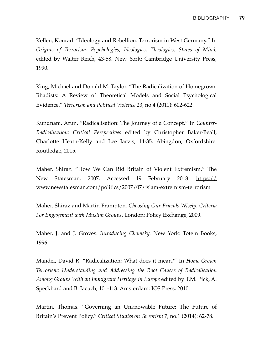Kellen, Konrad. "Ideology and Rebellion: Terrorism in West Germany." In *Origins of Terrorism. Psychologies, Ideologies, Theologies, States of Mind,*  edited by Walter Reich, 43-58. New York: Cambridge University Press, 1990.

King, Michael and Donald M. Taylor. "The Radicalization of Homegrown Jihadists: A Review of Theoretical Models and Social Psychological Evidence." *Terrorism and Political Violence* 23, no.4 (2011): 602-622.

Kundnani, Arun. "Radicalisation: The Journey of a Concept." In *Counter-Radicalisation: Critical Perspectives* edited by Christopher Baker-Beall, Charlotte Heath-Kelly and Lee Jarvis, 14-35. Abingdon, Oxfordshire: Routledge, 2015.

Maher, Shiraz. "How We Can Rid Britain of Violent Extremism." The New Statesman. 2007. Accessed 19 February 2018. [https://](https://www.newstatesman.com/politics/2007/07/islam-extremism-terrorism) [www.newstatesman.com/politics/2007/07/islam-extremism-terrorism](https://www.newstatesman.com/politics/2007/07/islam-extremism-terrorism)

Maher, Shiraz and Martin Frampton. *Choosing Our Friends Wisely: Criteria For Engagement with Muslim Groups*. London: Policy Exchange, 2009.

Maher, J. and J. Groves. *Introducing Chomsky.* New York: Totem Books, 1996.

Mandel, David R. "Radicalization: What does it mean?" In *Home-Grown Terrorism: Understanding and Addressing the Root Causes of Radicalisation Among Groups With an Immigrant Heritage in Europe* edited by T.M. Pick, A. Speckhard and B. Jacuch, 101-113. Amsterdam: IOS Press, 2010.

Martin, Thomas. "Governing an Unknowable Future: The Future of Britain's Prevent Policy." *Critical Studies on Terrorism* 7, no.1 (2014): 62-78.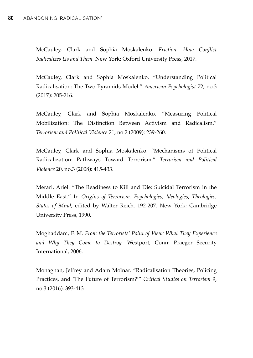McCauley, Clark and Sophia Moskalenko. *Friction. How Conflict Radicalizes Us and Them.* New York: Oxford University Press, 2017.

McCauley, Clark and Sophia Moskalenko. "Understanding Political Radicalisation: The Two-Pyramids Model." *American Psychologist* 72, no.3 (2017): 205-216.

McCauley, Clark and Sophia Moskalenko. "Measuring Political Mobilization: The Distinction Between Activism and Radicalism." *Terrorism and Political Violence* 21, no.2 (2009): 239-260.

McCauley, Clark and Sophia Moskalenko. "Mechanisms of Political Radicalization: Pathways Toward Terrorism." *Terrorism and Political Violence* 20, no.3 (2008): 415-433.

Merari, Ariel. "The Readiness to Kill and Die: Suicidal Terrorism in the Middle East." In *Origins of Terrorism. Psychologies, Ideologies, Theologies, States of Mind,* edited by Walter Reich, 192-207. New York: Cambridge University Press, 1990.

Moghaddam, F. M. *From the Terrorists' Point of View: What They Experience and Why They Come to Destroy.* Westport, Conn: Praeger Security International, 2006.

Monaghan, Jeffrey and Adam Molnar. "Radicalisation Theories, Policing Practices, and 'The Future of Terrorism?'" *Critical Studies on Terrorism* 9, no.3 (2016): 393-413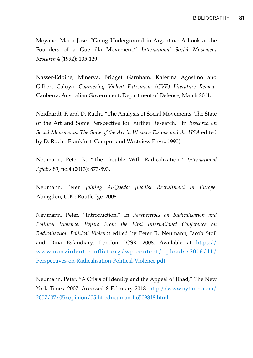Moyano, Maria Jose. "Going Underground in Argentina: A Look at the Founders of a Guerrilla Movement." *International Social Movement Research* 4 (1992): 105-129.

Nasser-Eddine, Minerva, Bridget Garnham, Katerina Agostino and Gilbert Caluya. *Countering Violent Extremism (CVE) Literature Review*. Canberra: Australian Government, Department of Defence, March 2011.

Neidhardt, F. and D. Rucht. "The Analysis of Social Movements: The State of the Art and Some Perspective for Further Research." In *Research on Social Movements: The State of the Art in Western Europe and the USA* edited by D. Rucht. Frankfurt: Campus and Westview Press, 1990).

Neumann, Peter R. "The Trouble With Radicalization." *International Affairs* 89, no.4 (2013): 873-893.

Neumann, Peter. *Joining Al-Qaeda: Jihadist Recruitment in Europe*. Abingdon, U.K.: Routledge, 2008.

Neumann, Peter. "Introduction." In *Perspectives on Radicalisation and Political Violence: Papers From the First International Conference on Radicalisation Political Violence* edited by Peter R. Neumann, Jacob Stoil and Dina Esfandiary*.* London: ICSR, 2008. Available at [https://](https://www.nonviolent-conflict.org/wp-content/uploads/2016/11/Perspectives-on-Radicalisation-Political-Violence.pdf) [www.nonviolent-conflict.org/wp-content/uploads/2016/11/](https://www.nonviolent-conflict.org/wp-content/uploads/2016/11/Perspectives-on-Radicalisation-Political-Violence.pdf) [Perspectives-on-Radicalisation-Political-Violence.pdf](https://www.nonviolent-conflict.org/wp-content/uploads/2016/11/Perspectives-on-Radicalisation-Political-Violence.pdf)

Neumann, Peter. "A Crisis of Identity and the Appeal of Jihad," The New York Times. 2007. Accessed 8 February 2018. [http://www.nytimes.com/](http://www.nytimes.com/2007/07/05/opinion/05iht-edneuman.1.6509818.html) [2007/07/05/opinion/05iht-edneuman.1.6509818.html](http://www.nytimes.com/2007/07/05/opinion/05iht-edneuman.1.6509818.html)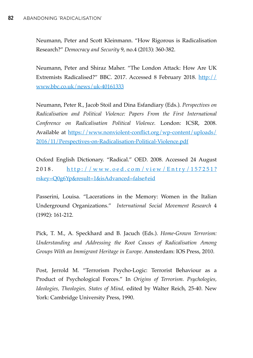Neumann, Peter and Scott Kleinmann. "How Rigorous is Radicalisation Research?" *Democracy and Security* 9, no.4 (2013): 360-382.

Neumann, Peter and Shiraz Maher. "The London Attack: How Are UK Extremists Radicalised?" BBC. 2017. Accessed 8 February 2018. [http://](http://www.bbc.co.uk/news/uk-40161333) [www.bbc.co.uk/news/uk-40161333](http://www.bbc.co.uk/news/uk-40161333)

Neumann, Peter R., Jacob Stoil and Dina Esfandiary (Eds.). *Perspectives on Radicalisation and Political Violence: Papers From the First International Conference on Radicalisation Political Violence.* London: ICSR, 2008. Available at [https://www.nonviolent-conflict.org/wp-content/uploads/](https://www.nonviolent-conflict.org/wp-content/uploads/2016/11/Perspectives-on-Radicalisation-Political-Violence.pdf) [2016/11/Perspectives-on-Radicalisation-Political-Violence.pdf](https://www.nonviolent-conflict.org/wp-content/uploads/2016/11/Perspectives-on-Radicalisation-Political-Violence.pdf)

Oxford English Dictionary. "Radical." OED. 2008. Accessed 24 August 2018. [http://www.oed.com/view/Entry/157251?](http://www.oed.com/view/Entry/157251?rskey=Q0g6Yp&result=1&isAdvanced=false%22%20%5Cl%20%22eid) [rskey=Q0g6Yp&result=1&isAdvanced=false#eid](http://www.oed.com/view/Entry/157251?rskey=Q0g6Yp&result=1&isAdvanced=false%22%20%5Cl%20%22eid)

Passerini, Louisa. "Lacerations in the Memory: Women in the Italian Underground Organizations." *International Social Movement Research* 4 (1992): 161-212.

Pick, T. M., A. Speckhard and B. Jacuch (Eds.). *Home-Grown Terrorism: Understanding and Addressing the Root Causes of Radicalisation Among Groups With an Immigrant Heritage in Europe*. Amsterdam: IOS Press, 2010.

Post, Jerrold M. "Terrorism Psycho-Logic: Terrorist Behaviour as a Product of Psychological Forces." In *Origins of Terrorism. Psychologies, Ideologies, Theologies, States of Mind,* edited by Walter Reich, 25-40. New York: Cambridge University Press, 1990.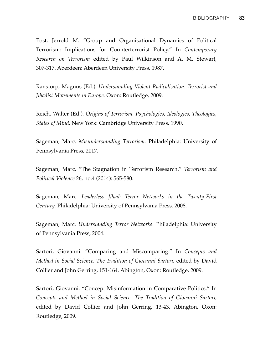Post, Jerrold M. "Group and Organisational Dynamics of Political Terrorism: Implications for Counterterrorist Policy." In *Contemporary Research on Terrorism* edited by Paul Wilkinson and A. M. Stewart, 307-317. Aberdeen: Aberdeen University Press, 1987.

Ranstorp, Magnus (Ed.). *Understanding Violent Radicalisation. Terrorist and Jihadist Movements in Europe.* Oxon: Routledge, 2009.

Reich, Walter (Ed.). *Origins of Terrorism. Psychologies, Ideologies, Theologies, States of Mind.* New York: Cambridge University Press, 1990.

Sageman, Marc. *Misunderstanding Terrorism.* Philadelphia: University of Pennsylvania Press, 2017.

Sageman, Marc. "The Stagnation in Terrorism Research." *Terrorism and Political Violence* 26, no.4 (2014): 565-580.

Sageman, Marc. *Leaderless Jihad: Terror Networks in the Twenty-First Century.* Philadelphia: University of Pennsylvania Press, 2008.

Sageman, Marc. *Understanding Terror Networks.* Philadelphia: University of Pennsylvania Press, 2004.

Sartori, Giovanni. "Comparing and Miscomparing." In *Concepts and Method in Social Science: The Tradition of Giovanni Sartori, edited by David* Collier and John Gerring, 151-164. Abington, Oxon: Routledge, 2009.

Sartori, Giovanni. "Concept Misinformation in Comparative Politics." In *Concepts and Method in Social Science: The Tradition of Giovanni Sartori,*  edited by David Collier and John Gerring, 13-43. Abington, Oxon: Routledge, 2009.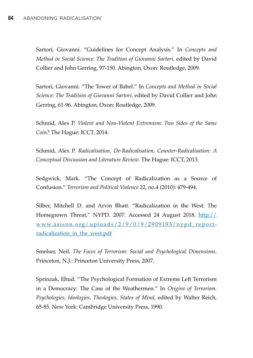Sartori, Giovanni. "Guidelines for Concept Analysis." In *Concepts and Method in Social Science: The Tradition of Giovanni Sartori,* edited by David Collier and John Gerring, 97-150. Abington, Oxon: Routledge, 2009.

Sartori, Giovanni. "The Tower of Babel." In *Concepts and Method in Social Science: The Tradition of Giovanni Sartori,* edited by David Collier and John Gerring, 61-96. Abington, Oxon: Routledge, 2009.

Schmid, Alex P. *Violent and Non-Violent Extremism: Two Sides of the Same Coin?* The Hague: ICCT, 2014.

Schmid, Alex P. *Radicalisation, De-Radicalisation, Counter-Radicalisation: A Conceptual Discussion and Literature Review*. The Hague: ICCT, 2013.

Sedgwick, Mark. "The Concept of Radicalization as a Source of Confusion." *Terrorism and Political Violence* 22, no.4 (2010): 479-494.

Silber, Mitchell D. and Arvin Bhatt. "Radicalization in the West: The Homegrown Threat," NYPD. 2007. Accessed 24 August 2018.  $\frac{http://}{http://}$  $\frac{http://}{http://}$  $\frac{http://}{http://}$ [www.asisnn.org/uploads/2/9/0/9/2909193/nypd\\_report](http://www.asisnn.org/uploads/2/9/0/9/2909193/nypd_report-radicalization_in_the_west.pdf)[radicalization\\_in\\_the\\_west.pdf](http://www.asisnn.org/uploads/2/9/0/9/2909193/nypd_report-radicalization_in_the_west.pdf)

Smelser, Neil. *The Faces of Terrorism: Social and Psychological Dimensions*. Princeton, N.J.: Princeton University Press, 2007.

Sprinzak, Ehud. "The Psychological Formation of Extreme Left Terrorism in a Democracy: The Case of the Weathermen." In *Origins of Terrorism. Psychologies, Ideologies, Theologies, States of Mind,* edited by Walter Reich, 65-85. New York: Cambridge University Press, 1990.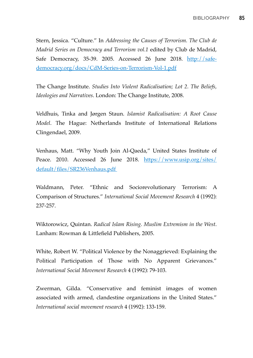Stern, Jessica. "Culture." In *Addressing the Causes of Terrorism. The Club de Madrid Series on Democracy and Terrorism vol.1* edited by Club de Madrid, Safe Democracy, 35-39. 2005. Accessed 26 June 2018. [http://safe](http://safe-democracy.org/docs/CdM-Series-on-Terrorism-Vol-1.pdf)[democracy.org/docs/CdM-Series-on-Terrorism-Vol-1.pdf](http://safe-democracy.org/docs/CdM-Series-on-Terrorism-Vol-1.pdf)

The Change Institute. *Studies Into Violent Radicalisation; Lot 2. The Beliefs, Ideologies and Narratives*. London: The Change Institute, 2008.

Veldhuis, Tinka and Jørgen Staun. *Islamist Radicalisation: A Root Cause Model*. The Hague: Netherlands Institute of International Relations Clingendael, 2009.

Venhaus, Matt. "Why Youth Join Al-Qaeda," United States Institute of Peace. 2010. Accessed 26 June 2018. [https://www.usip.org/sites/](https://www.usip.org/sites/default/files/SR236Venhaus.pdf) [default/files/SR236Venhaus.pdf](https://www.usip.org/sites/default/files/SR236Venhaus.pdf) 

Waldmann, Peter. "Ethnic and Sociorevolutionary Terrorism: A Comparison of Structures." *International Social Movement Research* 4 (1992): 237-257.

Wiktorowicz, Quintan. *Radical Islam Rising. Muslim Extremism in the West*. Lanham: Rowman & Littlefield Publishers, 2005.

White, Robert W. "Political Violence by the Nonaggrieved: Explaining the Political Participation of Those with No Apparent Grievances." *International Social Movement Research* 4 (1992): 79-103.

Zwerman, Gilda. "Conservative and feminist images of women associated with armed, clandestine organizations in the United States." *International social movement research* 4 (1992): 133-159.